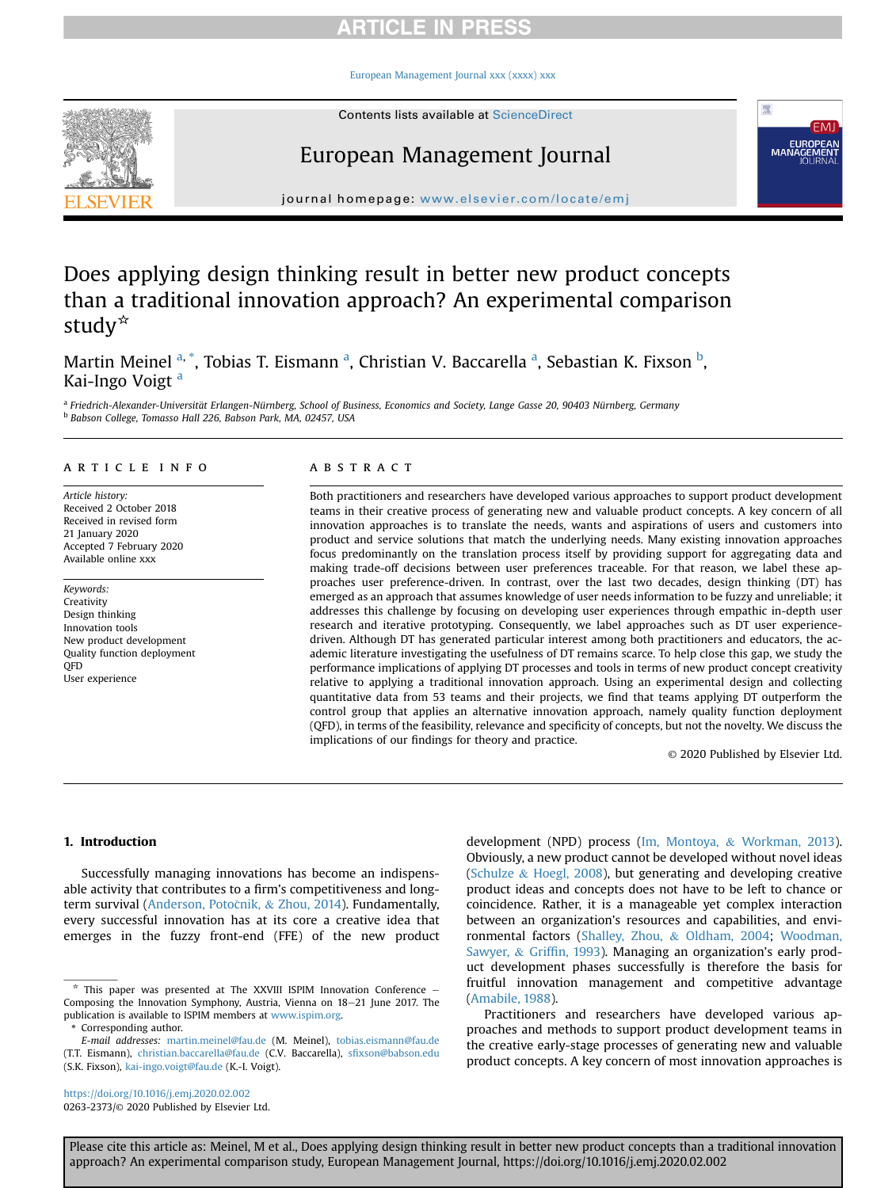[European Management Journal xxx \(xxxx\) xxx](https://doi.org/10.1016/j.emj.2020.02.002)



Contents lists available at ScienceDirect

# European Management Journal



journal homepage: <www.elsevier.com/locate/emj>

# Does applying design thinking result in better new product concepts than a traditional innovation approach? An experimental comparison study\*

Martin Meinel <sup>a, \*</sup>, Tobias T. Eismann <sup>a</sup>, Christian V. Baccarella <sup>a</sup>, Sebastian K. Fixson <sup>b</sup>, Kai-Ingo Voigt<sup>a</sup>

a Friedrich-Alexander-Universität Erlangen-Nürnberg, School of Business, Economics and Society, Lange Gasse 20, 90403 Nürnberg, Germany <sup>b</sup> Babson College, Tomasso Hall 226, Babson Park, MA, 02457, USA

#### article info

Article history: Received 2 October 2018 Received in revised form 21 January 2020 Accepted 7 February 2020 Available online xxx

Keywords: Creativity Design thinking Innovation tools New product development Quality function deployment **OFD** User experience

#### **ABSTRACT**

Both practitioners and researchers have developed various approaches to support product development teams in their creative process of generating new and valuable product concepts. A key concern of all innovation approaches is to translate the needs, wants and aspirations of users and customers into product and service solutions that match the underlying needs. Many existing innovation approaches focus predominantly on the translation process itself by providing support for aggregating data and making trade-off decisions between user preferences traceable. For that reason, we label these approaches user preference-driven. In contrast, over the last two decades, design thinking (DT) has emerged as an approach that assumes knowledge of user needs information to be fuzzy and unreliable; it addresses this challenge by focusing on developing user experiences through empathic in-depth user research and iterative prototyping. Consequently, we label approaches such as DT user experiencedriven. Although DT has generated particular interest among both practitioners and educators, the academic literature investigating the usefulness of DT remains scarce. To help close this gap, we study the performance implications of applying DT processes and tools in terms of new product concept creativity relative to applying a traditional innovation approach. Using an experimental design and collecting quantitative data from 53 teams and their projects, we find that teams applying DT outperform the control group that applies an alternative innovation approach, namely quality function deployment (QFD), in terms of the feasibility, relevance and specificity of concepts, but not the novelty. We discuss the implications of our findings for theory and practice.

© 2020 Published by Elsevier Ltd.

#### 1. Introduction

Successfully managing innovations has become an indispensable activity that contributes to a firm's competitiveness and long-term survival ([Anderson, Poto](#page-9-0)čnik, & [Zhou, 2014\)](#page-9-0). Fundamentally, every successful innovation has at its core a creative idea that emerges in the fuzzy front-end (FFE) of the new product

Corresponding author.

development (NPD) process ([Im, Montoya,](#page-10-0) & [Workman, 2013\)](#page-10-0). Obviously, a new product cannot be developed without novel ideas ([Schulze](#page-10-0) & [Hoegl, 2008\)](#page-10-0), but generating and developing creative product ideas and concepts does not have to be left to chance or coincidence. Rather, it is a manageable yet complex interaction between an organization's resources and capabilities, and environmental factors [\(Shalley, Zhou,](#page-10-0) & [Oldham, 2004;](#page-10-0) [Woodman,](#page-10-0) [Sawyer,](#page-10-0) & Griffi[n, 1993](#page-10-0)). Managing an organization's early product development phases successfully is therefore the basis for fruitful innovation management and competitive advantage ([Amabile, 1988\)](#page-9-0).

Practitioners and researchers have developed various approaches and methods to support product development teams in the creative early-stage processes of generating new and valuable product concepts. A key concern of most innovation approaches is

<https://doi.org/10.1016/j.emj.2020.02.002> 0263-2373/© 2020 Published by Elsevier Ltd.

 $*$  This paper was presented at The XXVIII ISPIM Innovation Conference  $-$ Composing the Innovation Symphony, Austria, Vienna on 18-21 June 2017. The publication is available to ISPIM members at [www.ispim.org.](http://www.ispim.org)

E-mail addresses: [martin.meinel@fau.de](mailto:martin.meinel@fau.de) (M. Meinel), [tobias.eismann@fau.de](mailto:tobias.eismann@fau.de) (T.T. Eismann), [christian.baccarella@fau.de](mailto:christian.baccarella@fau.de) (C.V. Baccarella), sfi[xson@babson.edu](mailto:sfixson@babson.edu) (S.K. Fixson), [kai-ingo.voigt@fau.de](mailto:kai-ingo.voigt@fau.de) (K.-I. Voigt).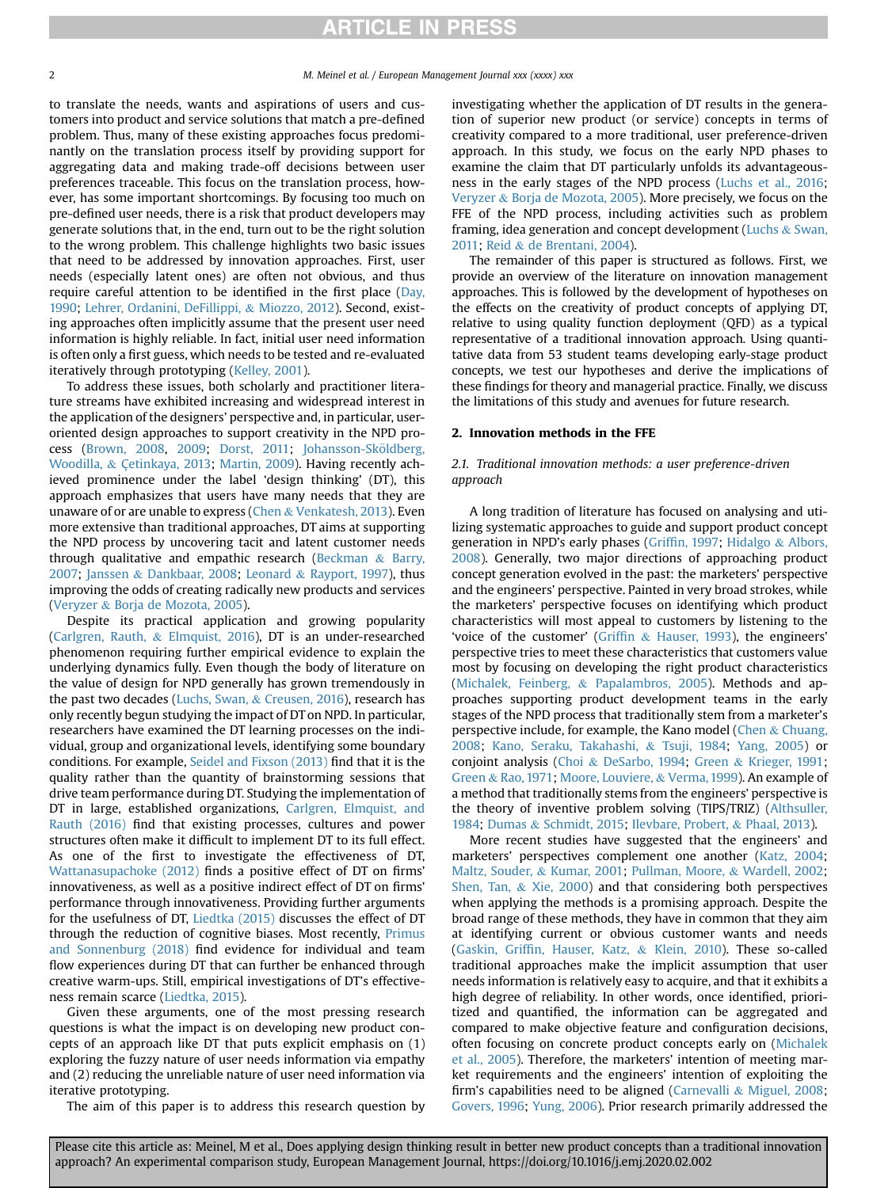to translate the needs, wants and aspirations of users and customers into product and service solutions that match a pre-defined problem. Thus, many of these existing approaches focus predominantly on the translation process itself by providing support for aggregating data and making trade-off decisions between user preferences traceable. This focus on the translation process, however, has some important shortcomings. By focusing too much on pre-defined user needs, there is a risk that product developers may generate solutions that, in the end, turn out to be the right solution to the wrong problem. This challenge highlights two basic issues that need to be addressed by innovation approaches. First, user needs (especially latent ones) are often not obvious, and thus require careful attention to be identified in the first place ([Day,](#page-9-0) [1990](#page-9-0); [Lehrer, Ordanini, DeFillippi,](#page-10-0) & [Miozzo, 2012](#page-10-0)). Second, existing approaches often implicitly assume that the present user need information is highly reliable. In fact, initial user need information is often only a first guess, which needs to be tested and re-evaluated iteratively through prototyping [\(Kelley, 2001](#page-10-0)).

To address these issues, both scholarly and practitioner literature streams have exhibited increasing and widespread interest in the application of the designers' perspective and, in particular, useroriented design approaches to support creativity in the NPD pro-cess ([Brown, 2008,](#page-9-0) [2009](#page-9-0); [Dorst, 2011](#page-9-0); [Johansson-Sk](#page-10-0)ö[ldberg,](#page-10-0) [Woodilla,](#page-10-0) & [Çetinkaya, 2013;](#page-10-0) [Martin, 2009\)](#page-10-0). Having recently achieved prominence under the label 'design thinking' (DT), this approach emphasizes that users have many needs that they are unaware of or are unable to express ([Chen](#page-9-0) & [Venkatesh, 2013\)](#page-9-0). Even more extensive than traditional approaches, DT aims at supporting the NPD process by uncovering tacit and latent customer needs through qualitative and empathic research ([Beckman](#page-9-0) & [Barry,](#page-9-0) [2007;](#page-9-0) [Janssen](#page-10-0) & [Dankbaar, 2008](#page-10-0); [Leonard](#page-10-0) & [Rayport, 1997](#page-10-0)), thus improving the odds of creating radically new products and services ([Veryzer](#page-10-0) & [Borja de Mozota, 2005](#page-10-0)).

Despite its practical application and growing popularity ([Carlgren, Rauth,](#page-9-0) & [Elmquist, 2016](#page-9-0)), DT is an under-researched phenomenon requiring further empirical evidence to explain the underlying dynamics fully. Even though the body of literature on the value of design for NPD generally has grown tremendously in the past two decades ([Luchs, Swan,](#page-10-0) & [Creusen, 2016\)](#page-10-0), research has only recently begun studying the impact of DT on NPD. In particular, researchers have examined the DT learning processes on the individual, group and organizational levels, identifying some boundary conditions. For example, [Seidel and Fixson \(2013\)](#page-10-0) find that it is the quality rather than the quantity of brainstorming sessions that drive team performance during DT. Studying the implementation of DT in large, established organizations, [Carlgren, Elmquist, and](#page-9-0) [Rauth \(2016\)](#page-9-0) find that existing processes, cultures and power structures often make it difficult to implement DT to its full effect. As one of the first to investigate the effectiveness of DT, [Wattanasupachoke \(2012\)](#page-10-0) finds a positive effect of DT on firms' innovativeness, as well as a positive indirect effect of DT on firms' performance through innovativeness. Providing further arguments for the usefulness of DT, [Liedtka \(2015\)](#page-10-0) discusses the effect of DT through the reduction of cognitive biases. Most recently, [Primus](#page-10-0) [and Sonnenburg \(2018\)](#page-10-0) find evidence for individual and team flow experiences during DT that can further be enhanced through creative warm-ups. Still, empirical investigations of DT's effectiveness remain scarce ([Liedtka, 2015\)](#page-10-0).

Given these arguments, one of the most pressing research questions is what the impact is on developing new product concepts of an approach like DT that puts explicit emphasis on (1) exploring the fuzzy nature of user needs information via empathy and (2) reducing the unreliable nature of user need information via iterative prototyping.

The aim of this paper is to address this research question by

investigating whether the application of DT results in the generation of superior new product (or service) concepts in terms of creativity compared to a more traditional, user preference-driven approach. In this study, we focus on the early NPD phases to examine the claim that DT particularly unfolds its advantageousness in the early stages of the NPD process [\(Luchs et al., 2016](#page-10-0); [Veryzer](#page-10-0) & [Borja de Mozota, 2005\)](#page-10-0). More precisely, we focus on the FFE of the NPD process, including activities such as problem framing, idea generation and concept development ([Luchs](#page-10-0) & [Swan,](#page-10-0) [2011;](#page-10-0) [Reid](#page-10-0) & [de Brentani, 2004](#page-10-0)).

The remainder of this paper is structured as follows. First, we provide an overview of the literature on innovation management approaches. This is followed by the development of hypotheses on the effects on the creativity of product concepts of applying DT, relative to using quality function deployment (QFD) as a typical representative of a traditional innovation approach. Using quantitative data from 53 student teams developing early-stage product concepts, we test our hypotheses and derive the implications of these findings for theory and managerial practice. Finally, we discuss the limitations of this study and avenues for future research.

### 2. Innovation methods in the FFE

### 2.1. Traditional innovation methods: a user preference-driven approach

A long tradition of literature has focused on analysing and utilizing systematic approaches to guide and support product concept generation in NPD's early phases (Griffi[n, 1997;](#page-9-0) [Hidalgo](#page-9-0) & [Albors,](#page-9-0) [2008](#page-9-0)). Generally, two major directions of approaching product concept generation evolved in the past: the marketers' perspective and the engineers' perspective. Painted in very broad strokes, while the marketers' perspective focuses on identifying which product characteristics will most appeal to customers by listening to the 'voice of the customer' ([Grif](#page-9-0)fin & [Hauser, 1993\)](#page-9-0), the engineers' perspective tries to meet these characteristics that customers value most by focusing on developing the right product characteristics ([Michalek, Feinberg,](#page-10-0) & [Papalambros, 2005\)](#page-10-0). Methods and approaches supporting product development teams in the early stages of the NPD process that traditionally stem from a marketer's perspective include, for example, the Kano model ([Chen](#page-9-0) & [Chuang,](#page-9-0) [2008](#page-9-0); [Kano, Seraku, Takahashi,](#page-10-0) & [Tsuji, 1984](#page-10-0); [Yang, 2005\)](#page-10-0) or conjoint analysis ([Choi](#page-9-0) & [DeSarbo, 1994;](#page-9-0) [Green](#page-9-0) & [Krieger, 1991](#page-9-0); [Green](#page-9-0) & [Rao, 1971](#page-9-0); [Moore, Louviere,](#page-10-0) & [Verma, 1999\)](#page-10-0). An example of a method that traditionally stems from the engineers' perspective is the theory of inventive problem solving (TIPS/TRIZ) [\(Althsuller,](#page-9-0) [1984](#page-9-0); [Dumas](#page-9-0) & [Schmidt, 2015;](#page-9-0) [Ilevbare, Probert,](#page-10-0) & [Phaal, 2013](#page-10-0)).

More recent studies have suggested that the engineers' and marketers' perspectives complement one another [\(Katz, 2004](#page-10-0); [Maltz, Souder,](#page-10-0) & [Kumar, 2001](#page-10-0); [Pullman, Moore,](#page-10-0) & [Wardell, 2002](#page-10-0); [Shen, Tan,](#page-10-0) & [Xie, 2000\)](#page-10-0) and that considering both perspectives when applying the methods is a promising approach. Despite the broad range of these methods, they have in common that they aim at identifying current or obvious customer wants and needs (Gaskin, Griffi[n, Hauser, Katz,](#page-9-0) & [Klein, 2010](#page-9-0)). These so-called traditional approaches make the implicit assumption that user needs information is relatively easy to acquire, and that it exhibits a high degree of reliability. In other words, once identified, prioritized and quantified, the information can be aggregated and compared to make objective feature and configuration decisions, often focusing on concrete product concepts early on [\(Michalek](#page-10-0) [et al., 2005\)](#page-10-0). Therefore, the marketers' intention of meeting market requirements and the engineers' intention of exploiting the firm's capabilities need to be aligned ([Carnevalli](#page-9-0)  $&$  [Miguel, 2008](#page-9-0); [Govers, 1996](#page-9-0); [Yung, 2006\)](#page-10-0). Prior research primarily addressed the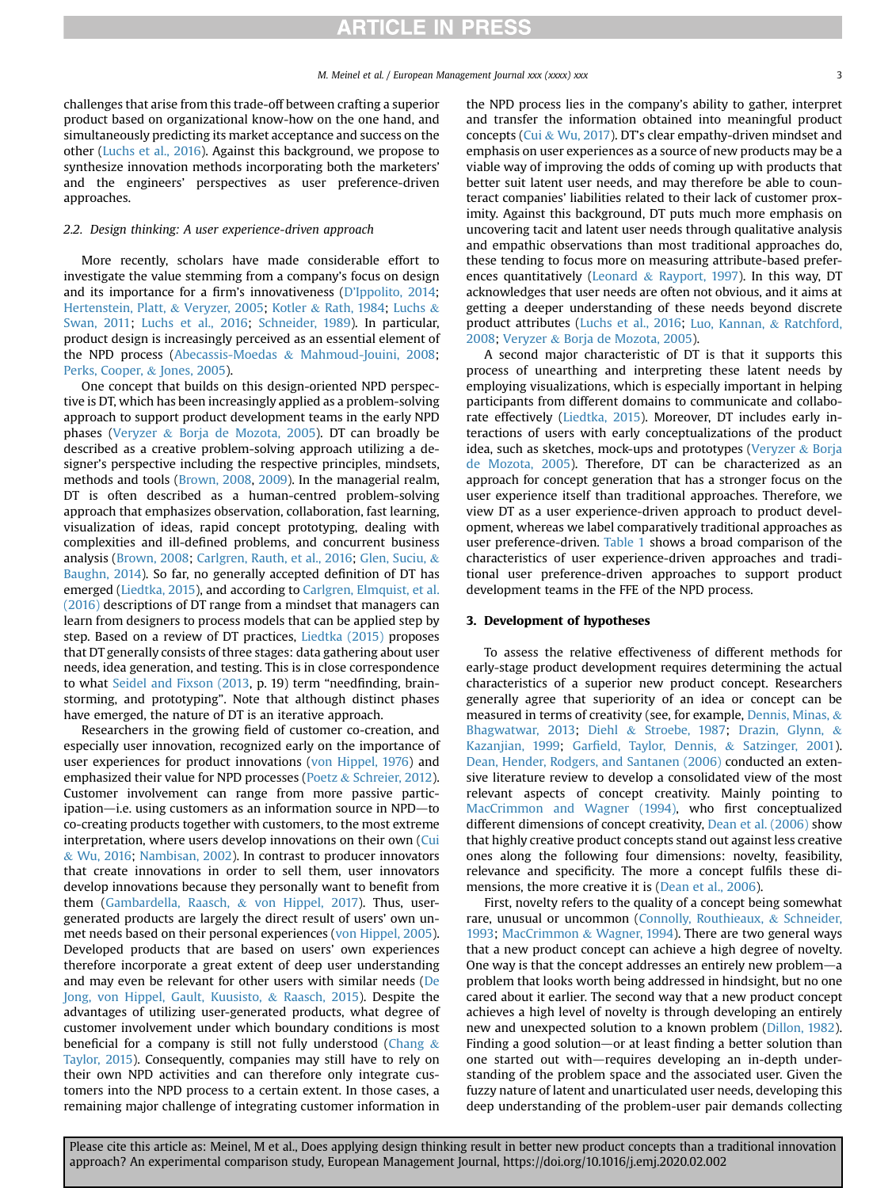challenges that arise from this trade-off between crafting a superior product based on organizational know-how on the one hand, and simultaneously predicting its market acceptance and success on the other ([Luchs et al., 2016](#page-10-0)). Against this background, we propose to synthesize innovation methods incorporating both the marketers' and the engineers' perspectives as user preference-driven approaches.

#### 2.2. Design thinking: A user experience-driven approach

More recently, scholars have made considerable effort to investigate the value stemming from a company's focus on design and its importance for a firm's innovativeness (D'[Ippolito, 2014;](#page-9-0) [Hertenstein, Platt,](#page-9-0) & [Veryzer, 2005](#page-9-0); [Kotler](#page-10-0) & [Rath, 1984;](#page-10-0) [Luchs](#page-10-0) & [Swan, 2011](#page-10-0); [Luchs et al., 2016](#page-10-0); [Schneider, 1989](#page-10-0)). In particular, product design is increasingly perceived as an essential element of the NPD process ([Abecassis-Moedas](#page-9-0) & [Mahmoud-Jouini, 2008;](#page-9-0) [Perks, Cooper,](#page-10-0) & [Jones, 2005\)](#page-10-0).

One concept that builds on this design-oriented NPD perspective is DT, which has been increasingly applied as a problem-solving approach to support product development teams in the early NPD phases ([Veryzer](#page-10-0) & [Borja de Mozota, 2005\)](#page-10-0). DT can broadly be described as a creative problem-solving approach utilizing a designer's perspective including the respective principles, mindsets, methods and tools [\(Brown, 2008](#page-9-0), [2009\)](#page-9-0). In the managerial realm, DT is often described as a human-centred problem-solving approach that emphasizes observation, collaboration, fast learning, visualization of ideas, rapid concept prototyping, dealing with complexities and ill-defined problems, and concurrent business analysis ([Brown, 2008](#page-9-0); [Carlgren, Rauth, et al., 2016](#page-9-0); [Glen, Suciu,](#page-9-0) & [Baughn, 2014](#page-9-0)). So far, no generally accepted definition of DT has emerged ([Liedtka, 2015\)](#page-10-0), and according to [Carlgren, Elmquist, et al.](#page-9-0) [\(2016\)](#page-9-0) descriptions of DT range from a mindset that managers can learn from designers to process models that can be applied step by step. Based on a review of DT practices, [Liedtka \(2015\)](#page-10-0) proposes that DT generally consists of three stages: data gathering about user needs, idea generation, and testing. This is in close correspondence to what [Seidel and Fixson \(2013,](#page-10-0) p. 19) term "needfinding, brainstorming, and prototyping". Note that although distinct phases have emerged, the nature of DT is an iterative approach.

Researchers in the growing field of customer co-creation, and especially user innovation, recognized early on the importance of user experiences for product innovations ([von Hippel, 1976](#page-10-0)) and emphasized their value for NPD processes ([Poetz](#page-10-0) & [Schreier, 2012\)](#page-10-0). Customer involvement can range from more passive participation-i.e. using customers as an information source in NPD-to co-creating products together with customers, to the most extreme interpretation, where users develop innovations on their own [\(Cui](#page-9-0) & [Wu, 2016;](#page-9-0) [Nambisan, 2002\)](#page-10-0). In contrast to producer innovators that create innovations in order to sell them, user innovators develop innovations because they personally want to benefit from them ([Gambardella, Raasch,](#page-9-0) & [von Hippel, 2017](#page-9-0)). Thus, usergenerated products are largely the direct result of users' own unmet needs based on their personal experiences [\(von Hippel, 2005\)](#page-10-0). Developed products that are based on users' own experiences therefore incorporate a great extent of deep user understanding and may even be relevant for other users with similar needs [\(De](#page-9-0) [Jong, von Hippel, Gault, Kuusisto,](#page-9-0) & [Raasch, 2015\)](#page-9-0). Despite the advantages of utilizing user-generated products, what degree of customer involvement under which boundary conditions is most beneficial for a company is still not fully understood ([Chang](#page-9-0)  $\&$ [Taylor, 2015\)](#page-9-0). Consequently, companies may still have to rely on their own NPD activities and can therefore only integrate customers into the NPD process to a certain extent. In those cases, a remaining major challenge of integrating customer information in

the NPD process lies in the company's ability to gather, interpret and transfer the information obtained into meaningful product concepts ([Cui](#page-9-0) & [Wu, 2017\)](#page-9-0). DT's clear empathy-driven mindset and emphasis on user experiences as a source of new products may be a viable way of improving the odds of coming up with products that better suit latent user needs, and may therefore be able to counteract companies' liabilities related to their lack of customer proximity. Against this background, DT puts much more emphasis on uncovering tacit and latent user needs through qualitative analysis and empathic observations than most traditional approaches do, these tending to focus more on measuring attribute-based prefer-ences quantitatively ([Leonard](#page-10-0) & [Rayport, 1997](#page-10-0)). In this way, DT acknowledges that user needs are often not obvious, and it aims at getting a deeper understanding of these needs beyond discrete product attributes [\(Luchs et al., 2016;](#page-10-0) [Luo, Kannan,](#page-10-0) & [Ratchford,](#page-10-0) [2008;](#page-10-0) [Veryzer](#page-10-0) & [Borja de Mozota, 2005](#page-10-0)).

A second major characteristic of DT is that it supports this process of unearthing and interpreting these latent needs by employing visualizations, which is especially important in helping participants from different domains to communicate and collaborate effectively [\(Liedtka, 2015\)](#page-10-0). Moreover, DT includes early interactions of users with early conceptualizations of the product idea, such as sketches, mock-ups and prototypes ([Veryzer](#page-10-0)  $\&$  [Borja](#page-10-0) [de Mozota, 2005](#page-10-0)). Therefore, DT can be characterized as an approach for concept generation that has a stronger focus on the user experience itself than traditional approaches. Therefore, we view DT as a user experience-driven approach to product development, whereas we label comparatively traditional approaches as user preference-driven. [Table 1](#page-3-0) shows a broad comparison of the characteristics of user experience-driven approaches and traditional user preference-driven approaches to support product development teams in the FFE of the NPD process.

#### 3. Development of hypotheses

To assess the relative effectiveness of different methods for early-stage product development requires determining the actual characteristics of a superior new product concept. Researchers generally agree that superiority of an idea or concept can be measured in terms of creativity (see, for example, [Dennis, Minas,](#page-9-0) & [Bhagwatwar, 2013](#page-9-0); [Diehl](#page-9-0) & [Stroebe, 1987;](#page-9-0) [Drazin, Glynn,](#page-9-0) & [Kazanjian, 1999;](#page-9-0) Garfi[eld, Taylor, Dennis,](#page-9-0) & [Satzinger, 2001\)](#page-9-0). [Dean, Hender, Rodgers, and Santanen \(2006\)](#page-9-0) conducted an extensive literature review to develop a consolidated view of the most relevant aspects of concept creativity. Mainly pointing to [MacCrimmon and Wagner \(1994\),](#page-10-0) who first conceptualized different dimensions of concept creativity, [Dean et al. \(2006\)](#page-9-0) show that highly creative product concepts stand out against less creative ones along the following four dimensions: novelty, feasibility, relevance and specificity. The more a concept fulfils these dimensions, the more creative it is ([Dean et al., 2006\)](#page-9-0).

First, novelty refers to the quality of a concept being somewhat rare, unusual or uncommon ([Connolly, Routhieaux,](#page-9-0) & [Schneider,](#page-9-0) [1993;](#page-9-0) [MacCrimmon](#page-10-0) & [Wagner, 1994\)](#page-10-0). There are two general ways that a new product concept can achieve a high degree of novelty. One way is that the concept addresses an entirely new problem $-a$ problem that looks worth being addressed in hindsight, but no one cared about it earlier. The second way that a new product concept achieves a high level of novelty is through developing an entirely new and unexpected solution to a known problem [\(Dillon, 1982\)](#page-9-0). Finding a good solution—or at least finding a better solution than one started out with—requires developing an in-depth understanding of the problem space and the associated user. Given the fuzzy nature of latent and unarticulated user needs, developing this deep understanding of the problem-user pair demands collecting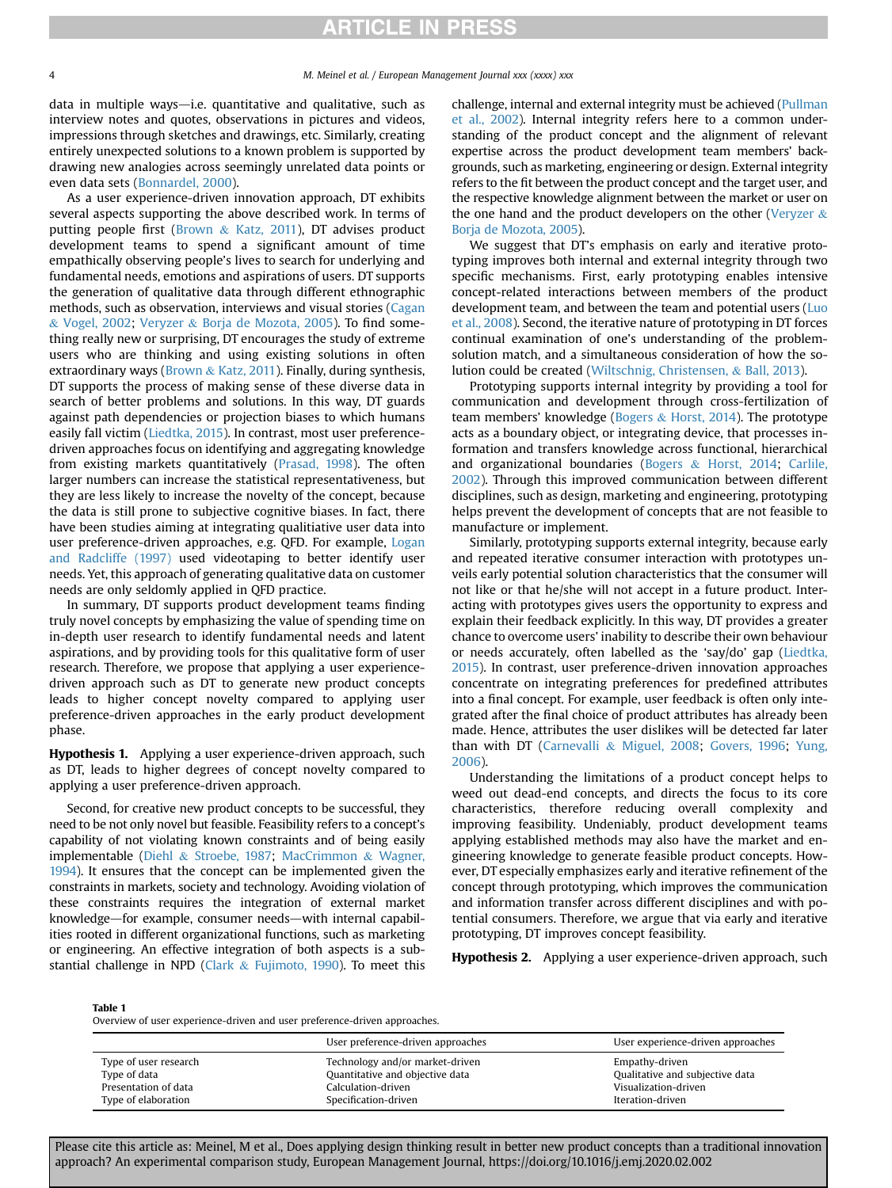<span id="page-3-0"></span>data in multiple ways-i.e. quantitative and qualitative, such as interview notes and quotes, observations in pictures and videos, impressions through sketches and drawings, etc. Similarly, creating entirely unexpected solutions to a known problem is supported by drawing new analogies across seemingly unrelated data points or even data sets [\(Bonnardel, 2000\)](#page-9-0).

As a user experience-driven innovation approach, DT exhibits several aspects supporting the above described work. In terms of putting people first ([Brown](#page-9-0) & [Katz, 2011](#page-9-0)), DT advises product development teams to spend a significant amount of time empathically observing people's lives to search for underlying and fundamental needs, emotions and aspirations of users. DT supports the generation of qualitative data through different ethnographic methods, such as observation, interviews and visual stories [\(Cagan](#page-9-0) & [Vogel, 2002;](#page-9-0) [Veryzer](#page-10-0) & [Borja de Mozota, 2005\)](#page-10-0). To find something really new or surprising, DT encourages the study of extreme users who are thinking and using existing solutions in often extraordinary ways ( $Brown \&$  [Katz, 2011](#page-9-0)). Finally, during synthesis, DT supports the process of making sense of these diverse data in search of better problems and solutions. In this way, DT guards against path dependencies or projection biases to which humans easily fall victim [\(Liedtka, 2015](#page-10-0)). In contrast, most user preferencedriven approaches focus on identifying and aggregating knowledge from existing markets quantitatively [\(Prasad, 1998\)](#page-10-0). The often larger numbers can increase the statistical representativeness, but they are less likely to increase the novelty of the concept, because the data is still prone to subjective cognitive biases. In fact, there have been studies aiming at integrating qualitiative user data into user preference-driven approaches, e.g. QFD. For example, [Logan](#page-10-0) [and Radcliffe \(1997\)](#page-10-0) used videotaping to better identify user needs. Yet, this approach of generating qualitative data on customer needs are only seldomly applied in QFD practice.

In summary, DT supports product development teams finding truly novel concepts by emphasizing the value of spending time on in-depth user research to identify fundamental needs and latent aspirations, and by providing tools for this qualitative form of user research. Therefore, we propose that applying a user experiencedriven approach such as DT to generate new product concepts leads to higher concept novelty compared to applying user preference-driven approaches in the early product development phase.

Hypothesis 1. Applying a user experience-driven approach, such as DT, leads to higher degrees of concept novelty compared to applying a user preference-driven approach.

Second, for creative new product concepts to be successful, they need to be not only novel but feasible. Feasibility refers to a concept's capability of not violating known constraints and of being easily implementable [\(Diehl](#page-9-0) & [Stroebe, 1987](#page-9-0); [MacCrimmon](#page-10-0) & [Wagner,](#page-10-0) [1994\)](#page-10-0). It ensures that the concept can be implemented given the constraints in markets, society and technology. Avoiding violation of these constraints requires the integration of external market knowledge—for example, consumer needs—with internal capabilities rooted in different organizational functions, such as marketing or engineering. An effective integration of both aspects is a substantial challenge in NPD [\(Clark](#page-9-0) & [Fujimoto, 1990](#page-9-0)). To meet this challenge, internal and external integrity must be achieved [\(Pullman](#page-10-0) [et al., 2002](#page-10-0)). Internal integrity refers here to a common understanding of the product concept and the alignment of relevant expertise across the product development team members' backgrounds, such as marketing, engineering or design. External integrity refers to the fit between the product concept and the target user, and the respective knowledge alignment between the market or user on the one hand and the product developers on the other ([Veryzer](#page-10-0)  $\&$ [Borja de Mozota, 2005\)](#page-10-0).

We suggest that DT's emphasis on early and iterative prototyping improves both internal and external integrity through two specific mechanisms. First, early prototyping enables intensive concept-related interactions between members of the product development team, and between the team and potential users [\(Luo](#page-10-0) [et al., 2008](#page-10-0)). Second, the iterative nature of prototyping in DT forces continual examination of one's understanding of the problemsolution match, and a simultaneous consideration of how the solution could be created ([Wiltschnig, Christensen,](#page-10-0) & [Ball, 2013](#page-10-0)).

Prototyping supports internal integrity by providing a tool for communication and development through cross-fertilization of team members' knowledge ([Bogers](#page-9-0)  $&$  [Horst, 2014\)](#page-9-0). The prototype acts as a boundary object, or integrating device, that processes information and transfers knowledge across functional, hierarchical and organizational boundaries ([Bogers](#page-9-0) & [Horst, 2014;](#page-9-0) [Carlile,](#page-9-0) [2002](#page-9-0)). Through this improved communication between different disciplines, such as design, marketing and engineering, prototyping helps prevent the development of concepts that are not feasible to manufacture or implement.

Similarly, prototyping supports external integrity, because early and repeated iterative consumer interaction with prototypes unveils early potential solution characteristics that the consumer will not like or that he/she will not accept in a future product. Interacting with prototypes gives users the opportunity to express and explain their feedback explicitly. In this way, DT provides a greater chance to overcome users' inability to describe their own behaviour or needs accurately, often labelled as the 'say/do' gap [\(Liedtka,](#page-10-0) [2015\)](#page-10-0). In contrast, user preference-driven innovation approaches concentrate on integrating preferences for predefined attributes into a final concept. For example, user feedback is often only integrated after the final choice of product attributes has already been made. Hence, attributes the user dislikes will be detected far later than with DT ([Carnevalli](#page-9-0) & [Miguel, 2008](#page-9-0); [Govers, 1996;](#page-9-0) [Yung,](#page-10-0) [2006](#page-10-0)).

Understanding the limitations of a product concept helps to weed out dead-end concepts, and directs the focus to its core characteristics, therefore reducing overall complexity and improving feasibility. Undeniably, product development teams applying established methods may also have the market and engineering knowledge to generate feasible product concepts. However, DT especially emphasizes early and iterative refinement of the concept through prototyping, which improves the communication and information transfer across different disciplines and with potential consumers. Therefore, we argue that via early and iterative prototyping, DT improves concept feasibility.

Hypothesis 2. Applying a user experience-driven approach, such

Table 1

Overview of user experience-driven and user preference-driven approaches.

|                       | User preference-driven approaches | User experience-driven approaches |
|-----------------------|-----------------------------------|-----------------------------------|
| Type of user research | Technology and/or market-driven   | Empathy-driven                    |
| Type of data          | Quantitative and objective data   | Qualitative and subjective data   |
| Presentation of data  | Calculation-driven                | Visualization-driven              |
| Type of elaboration   | Specification-driven              | Iteration-driven                  |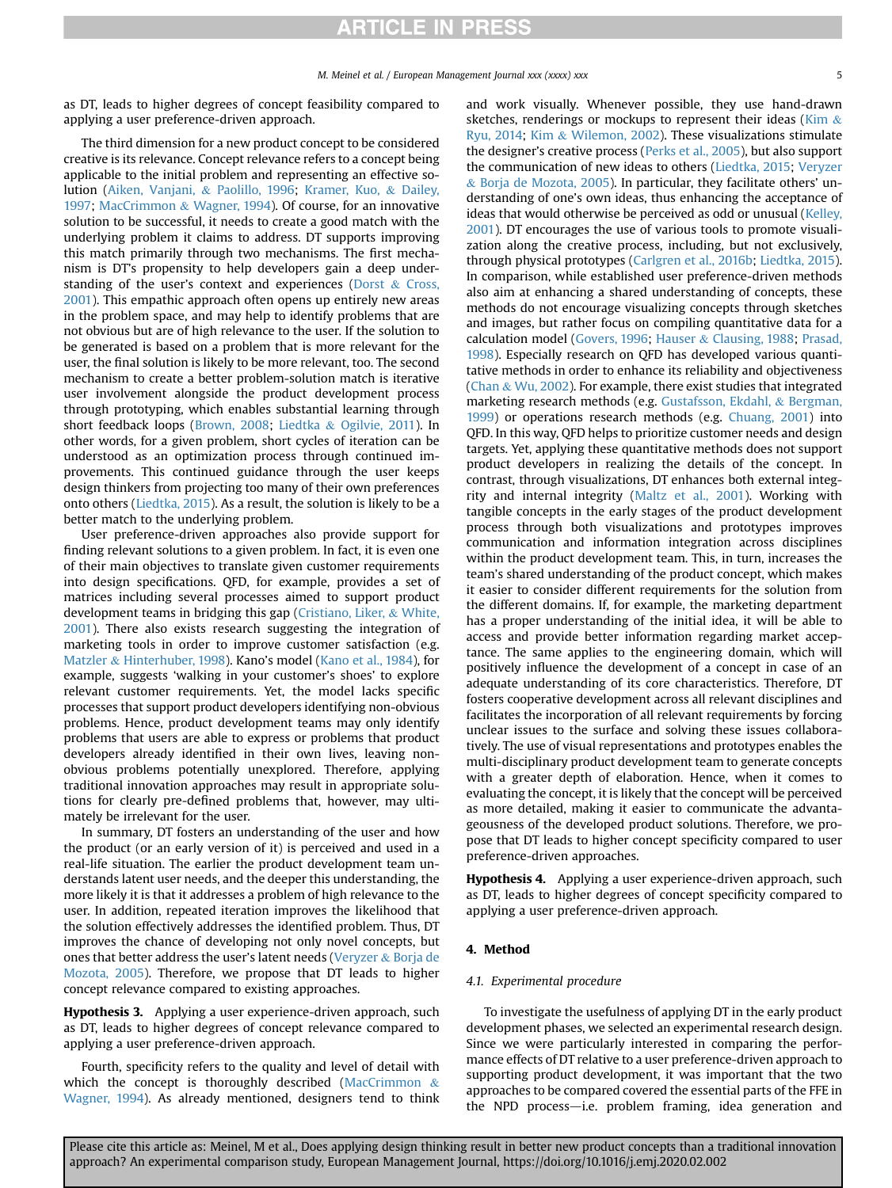as DT, leads to higher degrees of concept feasibility compared to applying a user preference-driven approach.

The third dimension for a new product concept to be considered creative is its relevance. Concept relevance refers to a concept being applicable to the initial problem and representing an effective solution [\(Aiken, Vanjani,](#page-9-0) & [Paolillo, 1996;](#page-9-0) [Kramer, Kuo,](#page-10-0) & [Dailey,](#page-10-0) [1997;](#page-10-0) [MacCrimmon](#page-10-0) & [Wagner, 1994\)](#page-10-0). Of course, for an innovative solution to be successful, it needs to create a good match with the underlying problem it claims to address. DT supports improving this match primarily through two mechanisms. The first mechanism is DT's propensity to help developers gain a deep understanding of the user's context and experiences [\(Dorst](#page-9-0) & [Cross,](#page-9-0) [2001\)](#page-9-0). This empathic approach often opens up entirely new areas in the problem space, and may help to identify problems that are not obvious but are of high relevance to the user. If the solution to be generated is based on a problem that is more relevant for the user, the final solution is likely to be more relevant, too. The second mechanism to create a better problem-solution match is iterative user involvement alongside the product development process through prototyping, which enables substantial learning through short feedback loops [\(Brown, 2008;](#page-9-0) [Liedtka](#page-10-0) & [Ogilvie, 2011](#page-10-0)). In other words, for a given problem, short cycles of iteration can be understood as an optimization process through continued improvements. This continued guidance through the user keeps design thinkers from projecting too many of their own preferences onto others ([Liedtka, 2015\)](#page-10-0). As a result, the solution is likely to be a better match to the underlying problem.

User preference-driven approaches also provide support for finding relevant solutions to a given problem. In fact, it is even one of their main objectives to translate given customer requirements into design specifications. QFD, for example, provides a set of matrices including several processes aimed to support product development teams in bridging this gap [\(Cristiano, Liker,](#page-9-0) & [White,](#page-9-0) [2001\)](#page-9-0). There also exists research suggesting the integration of marketing tools in order to improve customer satisfaction (e.g. [Matzler](#page-10-0) & [Hinterhuber, 1998\)](#page-10-0). Kano's model ([Kano et al., 1984\)](#page-10-0), for example, suggests 'walking in your customer's shoes' to explore relevant customer requirements. Yet, the model lacks specific processes that support product developers identifying non-obvious problems. Hence, product development teams may only identify problems that users are able to express or problems that product developers already identified in their own lives, leaving nonobvious problems potentially unexplored. Therefore, applying traditional innovation approaches may result in appropriate solutions for clearly pre-defined problems that, however, may ultimately be irrelevant for the user.

In summary, DT fosters an understanding of the user and how the product (or an early version of it) is perceived and used in a real-life situation. The earlier the product development team understands latent user needs, and the deeper this understanding, the more likely it is that it addresses a problem of high relevance to the user. In addition, repeated iteration improves the likelihood that the solution effectively addresses the identified problem. Thus, DT improves the chance of developing not only novel concepts, but ones that better address the user's latent needs [\(Veryzer](#page-10-0) & [Borja de](#page-10-0) [Mozota, 2005](#page-10-0)). Therefore, we propose that DT leads to higher concept relevance compared to existing approaches.

Hypothesis 3. Applying a user experience-driven approach, such as DT, leads to higher degrees of concept relevance compared to applying a user preference-driven approach.

Fourth, specificity refers to the quality and level of detail with which the concept is thoroughly described [\(MacCrimmon](#page-10-0)  $\&$ [Wagner, 1994](#page-10-0)). As already mentioned, designers tend to think and work visually. Whenever possible, they use hand-drawn sketches, renderings or mockups to represent their ideas ([Kim](#page-10-0)  $\&$ [Ryu, 2014;](#page-10-0) [Kim](#page-10-0) & [Wilemon, 2002\)](#page-10-0). These visualizations stimulate the designer's creative process ([Perks et al., 2005\)](#page-10-0), but also support the communication of new ideas to others ([Liedtka, 2015;](#page-10-0) [Veryzer](#page-10-0) & [Borja de Mozota, 2005](#page-10-0)). In particular, they facilitate others' understanding of one's own ideas, thus enhancing the acceptance of ideas that would otherwise be perceived as odd or unusual ([Kelley,](#page-10-0) [2001](#page-10-0)). DT encourages the use of various tools to promote visualization along the creative process, including, but not exclusively, through physical prototypes [\(Carlgren et al., 2016b;](#page-9-0) [Liedtka, 2015\)](#page-10-0). In comparison, while established user preference-driven methods also aim at enhancing a shared understanding of concepts, these methods do not encourage visualizing concepts through sketches and images, but rather focus on compiling quantitative data for a calculation model [\(Govers, 1996;](#page-9-0) [Hauser](#page-9-0) & [Clausing, 1988](#page-9-0); [Prasad,](#page-10-0) [1998\)](#page-10-0). Especially research on QFD has developed various quantitative methods in order to enhance its reliability and objectiveness ([Chan](#page-9-0) & [Wu, 2002](#page-9-0)). For example, there exist studies that integrated marketing research methods (e.g. [Gustafsson, Ekdahl,](#page-9-0) & [Bergman,](#page-9-0) [1999\)](#page-9-0) or operations research methods (e.g. [Chuang, 2001](#page-9-0)) into QFD. In this way, QFD helps to prioritize customer needs and design targets. Yet, applying these quantitative methods does not support product developers in realizing the details of the concept. In contrast, through visualizations, DT enhances both external integrity and internal integrity [\(Maltz et al., 2001](#page-10-0)). Working with tangible concepts in the early stages of the product development process through both visualizations and prototypes improves communication and information integration across disciplines within the product development team. This, in turn, increases the team's shared understanding of the product concept, which makes it easier to consider different requirements for the solution from the different domains. If, for example, the marketing department has a proper understanding of the initial idea, it will be able to access and provide better information regarding market acceptance. The same applies to the engineering domain, which will positively influence the development of a concept in case of an adequate understanding of its core characteristics. Therefore, DT fosters cooperative development across all relevant disciplines and facilitates the incorporation of all relevant requirements by forcing unclear issues to the surface and solving these issues collaboratively. The use of visual representations and prototypes enables the multi-disciplinary product development team to generate concepts with a greater depth of elaboration. Hence, when it comes to evaluating the concept, it is likely that the concept will be perceived as more detailed, making it easier to communicate the advantageousness of the developed product solutions. Therefore, we propose that DT leads to higher concept specificity compared to user preference-driven approaches.

Hypothesis 4. Applying a user experience-driven approach, such as DT, leads to higher degrees of concept specificity compared to applying a user preference-driven approach.

### 4. Method

#### 4.1. Experimental procedure

To investigate the usefulness of applying DT in the early product development phases, we selected an experimental research design. Since we were particularly interested in comparing the performance effects of DT relative to a user preference-driven approach to supporting product development, it was important that the two approaches to be compared covered the essential parts of the FFE in the NPD process—i.e. problem framing, idea generation and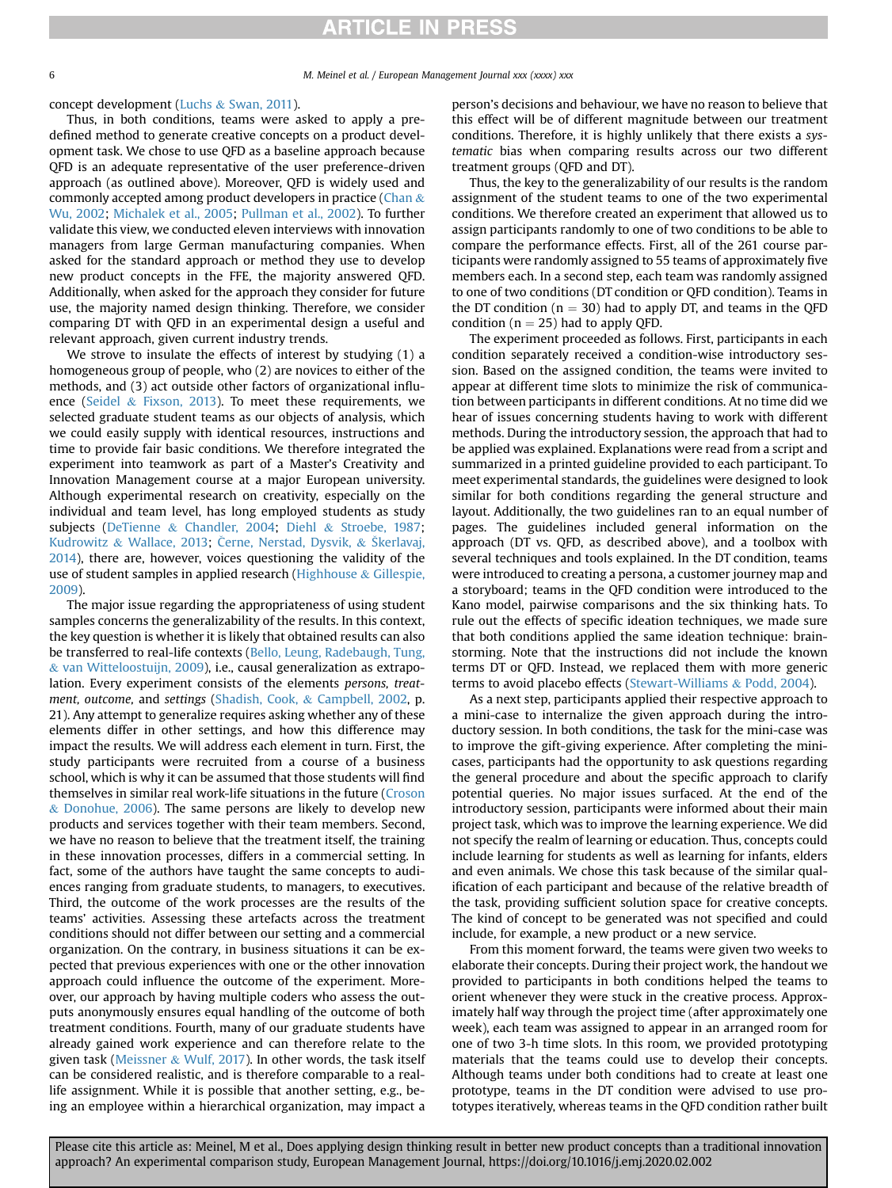6 M. Meinel et al. / European Management Journal xxx (xxxx) xxx

concept development [\(Luchs](#page-10-0) & [Swan, 2011\)](#page-10-0).

Thus, in both conditions, teams were asked to apply a predefined method to generate creative concepts on a product development task. We chose to use QFD as a baseline approach because QFD is an adequate representative of the user preference-driven approach (as outlined above). Moreover, QFD is widely used and commonly accepted among product developers in practice [\(Chan](#page-9-0)  $\&$ [Wu, 2002](#page-9-0); [Michalek et al., 2005;](#page-10-0) [Pullman et al., 2002\)](#page-10-0). To further validate this view, we conducted eleven interviews with innovation managers from large German manufacturing companies. When asked for the standard approach or method they use to develop new product concepts in the FFE, the majority answered QFD. Additionally, when asked for the approach they consider for future use, the majority named design thinking. Therefore, we consider comparing DT with QFD in an experimental design a useful and relevant approach, given current industry trends.

We strove to insulate the effects of interest by studying (1) a homogeneous group of people, who (2) are novices to either of the methods, and (3) act outside other factors of organizational influence ([Seidel](#page-10-0) & [Fixson, 2013\)](#page-10-0). To meet these requirements, we selected graduate student teams as our objects of analysis, which we could easily supply with identical resources, instructions and time to provide fair basic conditions. We therefore integrated the experiment into teamwork as part of a Master's Creativity and Innovation Management course at a major European university. Although experimental research on creativity, especially on the individual and team level, has long employed students as study subjects [\(DeTienne](#page-9-0) & [Chandler, 2004;](#page-9-0) [Diehl](#page-9-0) & [Stroebe, 1987](#page-9-0); [Kudrowitz](#page-10-0) & [Wallace, 2013](#page-10-0); Černe, Nerstad, Dysvik, & Š[kerlavaj,](#page-9-0) [2014](#page-9-0)), there are, however, voices questioning the validity of the use of student samples in applied research [\(Highhouse](#page-9-0) & [Gillespie,](#page-9-0) [2009](#page-9-0)).

The major issue regarding the appropriateness of using student samples concerns the generalizability of the results. In this context, the key question is whether it is likely that obtained results can also be transferred to real-life contexts [\(Bello, Leung, Radebaugh, Tung,](#page-9-0) & [van Witteloostuijn, 2009](#page-9-0)), i.e., causal generalization as extrapolation. Every experiment consists of the elements persons, treatment, outcome, and settings ([Shadish, Cook,](#page-10-0) & [Campbell, 2002,](#page-10-0) p. 21). Any attempt to generalize requires asking whether any of these elements differ in other settings, and how this difference may impact the results. We will address each element in turn. First, the study participants were recruited from a course of a business school, which is why it can be assumed that those students will find themselves in similar real work-life situations in the future ([Croson](#page-9-0)  $&$  [Donohue, 2006\)](#page-9-0). The same persons are likely to develop new products and services together with their team members. Second, we have no reason to believe that the treatment itself, the training in these innovation processes, differs in a commercial setting. In fact, some of the authors have taught the same concepts to audiences ranging from graduate students, to managers, to executives. Third, the outcome of the work processes are the results of the teams' activities. Assessing these artefacts across the treatment conditions should not differ between our setting and a commercial organization. On the contrary, in business situations it can be expected that previous experiences with one or the other innovation approach could influence the outcome of the experiment. Moreover, our approach by having multiple coders who assess the outputs anonymously ensures equal handling of the outcome of both treatment conditions. Fourth, many of our graduate students have already gained work experience and can therefore relate to the given task [\(Meissner](#page-10-0) & [Wulf, 2017\)](#page-10-0). In other words, the task itself can be considered realistic, and is therefore comparable to a reallife assignment. While it is possible that another setting, e.g., being an employee within a hierarchical organization, may impact a person's decisions and behaviour, we have no reason to believe that this effect will be of different magnitude between our treatment conditions. Therefore, it is highly unlikely that there exists a systematic bias when comparing results across our two different treatment groups (QFD and DT).

Thus, the key to the generalizability of our results is the random assignment of the student teams to one of the two experimental conditions. We therefore created an experiment that allowed us to assign participants randomly to one of two conditions to be able to compare the performance effects. First, all of the 261 course participants were randomly assigned to 55 teams of approximately five members each. In a second step, each team was randomly assigned to one of two conditions (DT condition or QFD condition). Teams in the DT condition ( $n = 30$ ) had to apply DT, and teams in the QFD condition ( $n = 25$ ) had to apply QFD.

The experiment proceeded as follows. First, participants in each condition separately received a condition-wise introductory session. Based on the assigned condition, the teams were invited to appear at different time slots to minimize the risk of communication between participants in different conditions. At no time did we hear of issues concerning students having to work with different methods. During the introductory session, the approach that had to be applied was explained. Explanations were read from a script and summarized in a printed guideline provided to each participant. To meet experimental standards, the guidelines were designed to look similar for both conditions regarding the general structure and layout. Additionally, the two guidelines ran to an equal number of pages. The guidelines included general information on the approach (DT vs. QFD, as described above), and a toolbox with several techniques and tools explained. In the DT condition, teams were introduced to creating a persona, a customer journey map and a storyboard; teams in the QFD condition were introduced to the Kano model, pairwise comparisons and the six thinking hats. To rule out the effects of specific ideation techniques, we made sure that both conditions applied the same ideation technique: brainstorming. Note that the instructions did not include the known terms DT or QFD. Instead, we replaced them with more generic terms to avoid placebo effects ([Stewart-Williams](#page-10-0) & [Podd, 2004\)](#page-10-0).

As a next step, participants applied their respective approach to a mini-case to internalize the given approach during the introductory session. In both conditions, the task for the mini-case was to improve the gift-giving experience. After completing the minicases, participants had the opportunity to ask questions regarding the general procedure and about the specific approach to clarify potential queries. No major issues surfaced. At the end of the introductory session, participants were informed about their main project task, which was to improve the learning experience. We did not specify the realm of learning or education. Thus, concepts could include learning for students as well as learning for infants, elders and even animals. We chose this task because of the similar qualification of each participant and because of the relative breadth of the task, providing sufficient solution space for creative concepts. The kind of concept to be generated was not specified and could include, for example, a new product or a new service.

From this moment forward, the teams were given two weeks to elaborate their concepts. During their project work, the handout we provided to participants in both conditions helped the teams to orient whenever they were stuck in the creative process. Approximately half way through the project time (after approximately one week), each team was assigned to appear in an arranged room for one of two 3-h time slots. In this room, we provided prototyping materials that the teams could use to develop their concepts. Although teams under both conditions had to create at least one prototype, teams in the DT condition were advised to use prototypes iteratively, whereas teams in the QFD condition rather built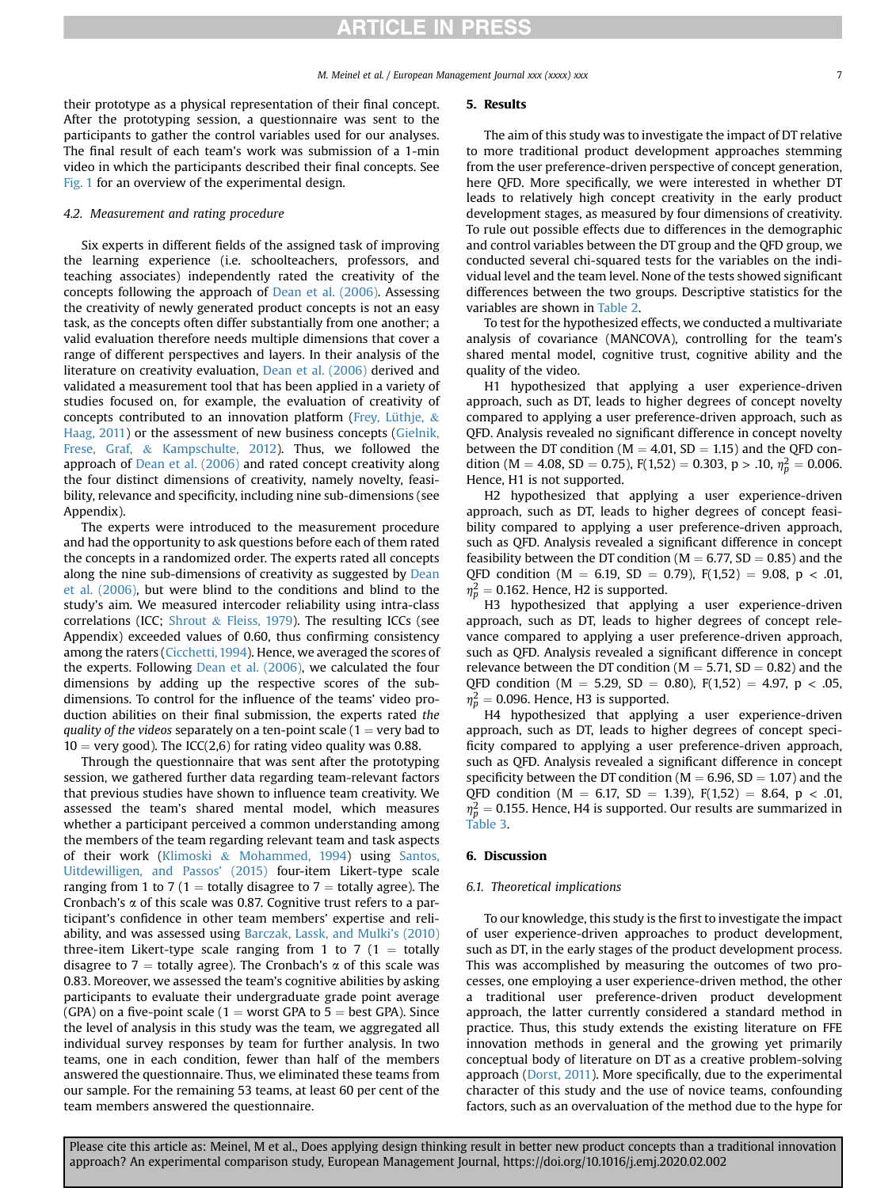their prototype as a physical representation of their final concept. After the prototyping session, a questionnaire was sent to the participants to gather the control variables used for our analyses. The final result of each team's work was submission of a 1-min video in which the participants described their final concepts. See [Fig. 1](#page-7-0) for an overview of the experimental design.

#### 4.2. Measurement and rating procedure

Six experts in different fields of the assigned task of improving the learning experience (i.e. schoolteachers, professors, and teaching associates) independently rated the creativity of the concepts following the approach of [Dean et al. \(2006\)](#page-9-0). Assessing the creativity of newly generated product concepts is not an easy task, as the concepts often differ substantially from one another; a valid evaluation therefore needs multiple dimensions that cover a range of different perspectives and layers. In their analysis of the literature on creativity evaluation, [Dean et al. \(2006\)](#page-9-0) derived and validated a measurement tool that has been applied in a variety of studies focused on, for example, the evaluation of creativity of concepts contributed to an innovation platform [\(Frey, Lüthje,](#page-9-0) & [Haag, 2011](#page-9-0)) or the assessment of new business concepts ([Gielnik,](#page-9-0) [Frese, Graf,](#page-9-0) & [Kampschulte, 2012\)](#page-9-0). Thus, we followed the approach of [Dean et al. \(2006\)](#page-9-0) and rated concept creativity along the four distinct dimensions of creativity, namely novelty, feasibility, relevance and specificity, including nine sub-dimensions (see Appendix).

The experts were introduced to the measurement procedure and had the opportunity to ask questions before each of them rated the concepts in a randomized order. The experts rated all concepts along the nine sub-dimensions of creativity as suggested by [Dean](#page-9-0) [et al. \(2006\)](#page-9-0), but were blind to the conditions and blind to the study's aim. We measured intercoder reliability using intra-class correlations (ICC; [Shrout](#page-10-0) & [Fleiss, 1979](#page-10-0)). The resulting ICCs (see Appendix) exceeded values of 0.60, thus confirming consistency among the raters ([Cicchetti, 1994\)](#page-9-0). Hence, we averaged the scores of the experts. Following [Dean et al. \(2006\),](#page-9-0) we calculated the four dimensions by adding up the respective scores of the subdimensions. To control for the influence of the teams' video production abilities on their final submission, the experts rated the quality of the videos separately on a ten-point scale  $(1 = \text{very bad to})$  $10 =$  very good). The ICC(2,6) for rating video quality was 0.88.

Through the questionnaire that was sent after the prototyping session, we gathered further data regarding team-relevant factors that previous studies have shown to influence team creativity. We assessed the team's shared mental model, which measures whether a participant perceived a common understanding among the members of the team regarding relevant team and task aspects of their work [\(Klimoski](#page-10-0) & [Mohammed, 1994\)](#page-10-0) using [Santos,](#page-10-0) [Uitdewilligen, and Passos](#page-10-0)' (2015) four-item Likert-type scale ranging from 1 to 7 (1 = totally disagree to 7 = totally agree). The Cronbach's  $\alpha$  of this scale was 0.87. Cognitive trust refers to a participant's confidence in other team members' expertise and reliability, and was assessed using [Barczak, Lassk, and Mulki](#page-9-0)'s (2010) three-item Likert-type scale ranging from 1 to 7 (1 = totally disagree to 7 = totally agree). The Cronbach's  $\alpha$  of this scale was 0.83. Moreover, we assessed the team's cognitive abilities by asking participants to evaluate their undergraduate grade point average (GPA) on a five-point scale (1 = worst GPA to  $5 =$  best GPA). Since the level of analysis in this study was the team, we aggregated all individual survey responses by team for further analysis. In two teams, one in each condition, fewer than half of the members answered the questionnaire. Thus, we eliminated these teams from our sample. For the remaining 53 teams, at least 60 per cent of the team members answered the questionnaire.

#### 5. Results

The aim of this study was to investigate the impact of DT relative to more traditional product development approaches stemming from the user preference-driven perspective of concept generation, here QFD. More specifically, we were interested in whether DT leads to relatively high concept creativity in the early product development stages, as measured by four dimensions of creativity. To rule out possible effects due to differences in the demographic and control variables between the DT group and the QFD group, we conducted several chi-squared tests for the variables on the individual level and the team level. None of the tests showed significant differences between the two groups. Descriptive statistics for the variables are shown in [Table 2](#page-7-0).

To test for the hypothesized effects, we conducted a multivariate analysis of covariance (MANCOVA), controlling for the team's shared mental model, cognitive trust, cognitive ability and the quality of the video.

H1 hypothesized that applying a user experience-driven approach, such as DT, leads to higher degrees of concept novelty compared to applying a user preference-driven approach, such as QFD. Analysis revealed no significant difference in concept novelty between the DT condition ( $M = 4.01$ , SD = 1.15) and the QFD condition (M = 4.08, SD = 0.75),  $F(1,52) = 0.303$ , p > .10,  $\eta_p^2 = 0.006$ . Hence, H1 is not supported.

H2 hypothesized that applying a user experience-driven approach, such as DT, leads to higher degrees of concept feasibility compared to applying a user preference-driven approach, such as QFD. Analysis revealed a significant difference in concept feasibility between the DT condition ( $M = 6.77$ , SD = 0.85) and the QFD condition (M = 6.19, SD = 0.79),  $F(1,52) = 9.08$ , p < .01,  $n_p^2 = 0.162$ . Hence, H2 is supported.

H3 hypothesized that applying a user experience-driven approach, such as DT, leads to higher degrees of concept relevance compared to applying a user preference-driven approach, such as QFD. Analysis revealed a significant difference in concept relevance between the DT condition ( $M = 5.71$ , SD = 0.82) and the QFD condition (M = 5.29, SD = 0.80),  $F(1,52) = 4.97$ , p < .05,  $\eta_p^2 = 0.096$ . Hence, H3 is supported.

H4 hypothesized that applying a user experience-driven approach, such as DT, leads to higher degrees of concept specificity compared to applying a user preference-driven approach, such as QFD. Analysis revealed a significant difference in concept specificity between the DT condition ( $M = 6.96$ , SD = 1.07) and the QFD condition (M = 6.17, SD = 1.39),  $F(1,52) = 8.64$ , p < .01,  $\eta_p^2 =$  0.155. Hence, H4 is supported. Our results are summarized in [Table 3.](#page-7-0)

#### 6. Discussion

#### 6.1. Theoretical implications

To our knowledge, this study is the first to investigate the impact of user experience-driven approaches to product development, such as DT, in the early stages of the product development process. This was accomplished by measuring the outcomes of two processes, one employing a user experience-driven method, the other a traditional user preference-driven product development approach, the latter currently considered a standard method in practice. Thus, this study extends the existing literature on FFE innovation methods in general and the growing yet primarily conceptual body of literature on DT as a creative problem-solving approach [\(Dorst, 2011](#page-9-0)). More specifically, due to the experimental character of this study and the use of novice teams, confounding factors, such as an overvaluation of the method due to the hype for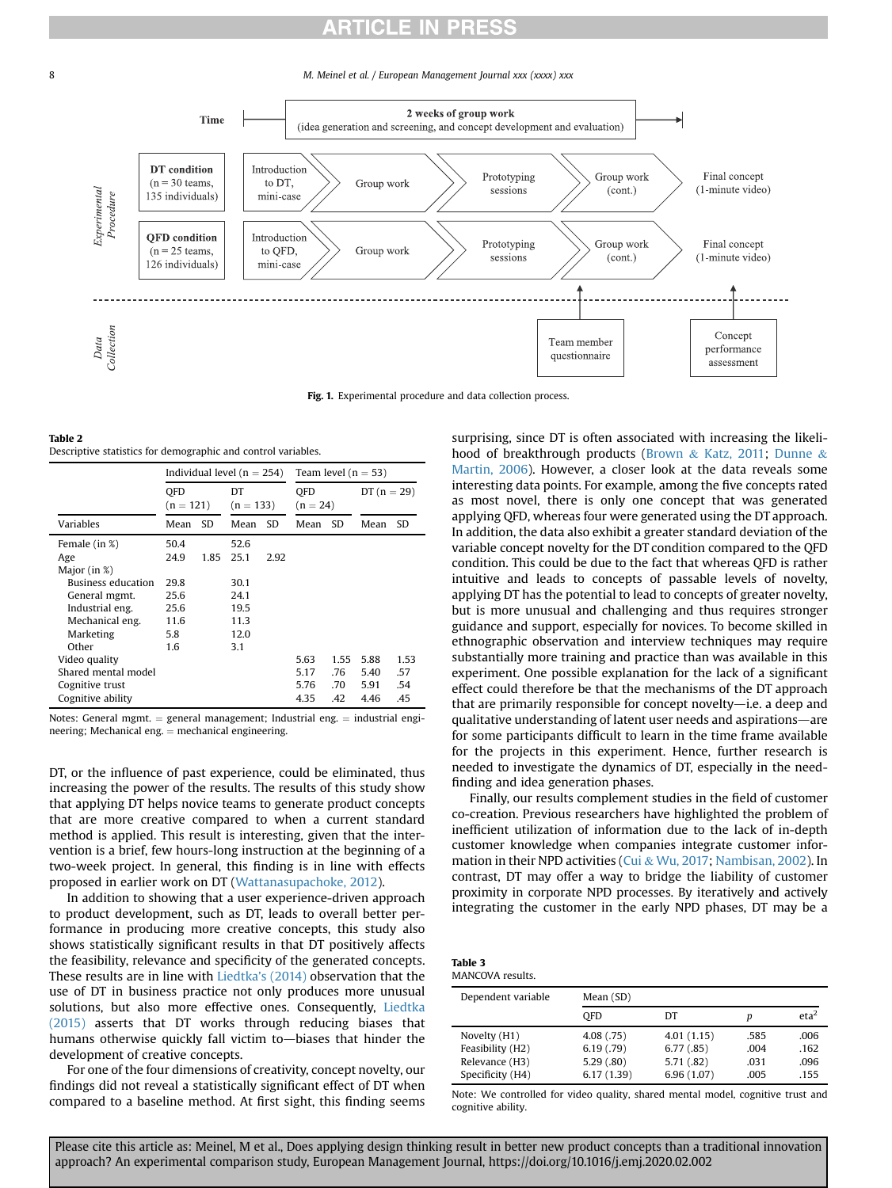<span id="page-7-0"></span>8 M. Meinel et al. / European Management Journal xxx (xxxx) xxx



Fig. 1. Experimental procedure and data collection process.

Table 2 Descriptive statistics for demographic and control variables.

|                           | Individual level ( $n = 254$ ) |                   |      | Team level $(n = 53)$ |      |              |      |      |  |
|---------------------------|--------------------------------|-------------------|------|-----------------------|------|--------------|------|------|--|
|                           | OFD<br>$(n = 121)$             | DT<br>$(n = 133)$ |      | OFD<br>$(n = 24)$     |      | $DT(n = 29)$ |      |      |  |
| Variables                 | Mean                           | SD                | Mean | <b>SD</b>             | Mean | SD           | Mean | SD   |  |
| Female (in %)             | 50.4                           |                   | 52.6 |                       |      |              |      |      |  |
| Age                       | 24.9                           | 1.85              | 25.1 | 2.92                  |      |              |      |      |  |
| Major $(in %)$            |                                |                   |      |                       |      |              |      |      |  |
| <b>Business education</b> | 29.8                           |                   | 30.1 |                       |      |              |      |      |  |
| General mgmt.             | 25.6                           |                   | 24.1 |                       |      |              |      |      |  |
| Industrial eng.           | 25.6                           |                   | 19.5 |                       |      |              |      |      |  |
| Mechanical eng.           | 11.6                           |                   | 11.3 |                       |      |              |      |      |  |
| Marketing                 | 5.8                            |                   | 12.0 |                       |      |              |      |      |  |
| Other                     | 1.6                            |                   | 3.1  |                       |      |              |      |      |  |
| Video quality             |                                |                   |      |                       | 5.63 | 1.55         | 5.88 | 1.53 |  |
| Shared mental model       |                                |                   |      |                       | 5.17 | .76          | 5.40 | .57  |  |
| Cognitive trust           |                                |                   |      |                       | 5.76 | .70          | 5.91 | .54  |  |
| Cognitive ability         |                                |                   |      |                       | 4.35 | .42          | 4.46 | .45  |  |

Notes: General mgmt.  $=$  general management; Industrial eng.  $=$  industrial engineering; Mechanical eng.  $=$  mechanical engineering.

DT, or the influence of past experience, could be eliminated, thus increasing the power of the results. The results of this study show that applying DT helps novice teams to generate product concepts that are more creative compared to when a current standard method is applied. This result is interesting, given that the intervention is a brief, few hours-long instruction at the beginning of a two-week project. In general, this finding is in line with effects proposed in earlier work on DT [\(Wattanasupachoke, 2012](#page-10-0)).

In addition to showing that a user experience-driven approach to product development, such as DT, leads to overall better performance in producing more creative concepts, this study also shows statistically significant results in that DT positively affects the feasibility, relevance and specificity of the generated concepts. These results are in line with Liedtka'[s \(2014\)](#page-10-0) observation that the use of DT in business practice not only produces more unusual solutions, but also more effective ones. Consequently, [Liedtka](#page-10-0) [\(2015\)](#page-10-0) asserts that DT works through reducing biases that humans otherwise quickly fall victim to-biases that hinder the development of creative concepts.

For one of the four dimensions of creativity, concept novelty, our findings did not reveal a statistically significant effect of DT when compared to a baseline method. At first sight, this finding seems

surprising, since DT is often associated with increasing the likelihood of breakthrough products ([Brown](#page-9-0) & [Katz, 2011;](#page-9-0) [Dunne](#page-9-0) & [Martin, 2006\)](#page-9-0). However, a closer look at the data reveals some interesting data points. For example, among the five concepts rated as most novel, there is only one concept that was generated applying QFD, whereas four were generated using the DT approach. In addition, the data also exhibit a greater standard deviation of the variable concept novelty for the DT condition compared to the QFD condition. This could be due to the fact that whereas QFD is rather intuitive and leads to concepts of passable levels of novelty, applying DT has the potential to lead to concepts of greater novelty, but is more unusual and challenging and thus requires stronger guidance and support, especially for novices. To become skilled in ethnographic observation and interview techniques may require substantially more training and practice than was available in this experiment. One possible explanation for the lack of a significant effect could therefore be that the mechanisms of the DT approach that are primarily responsible for concept novelty-i.e. a deep and qualitative understanding of latent user needs and aspirations—are for some participants difficult to learn in the time frame available for the projects in this experiment. Hence, further research is needed to investigate the dynamics of DT, especially in the needfinding and idea generation phases.

Finally, our results complement studies in the field of customer co-creation. Previous researchers have highlighted the problem of inefficient utilization of information due to the lack of in-depth customer knowledge when companies integrate customer information in their NPD activities [\(Cui](#page-9-0) & [Wu, 2017](#page-9-0); [Nambisan, 2002\)](#page-10-0). In contrast, DT may offer a way to bridge the liability of customer proximity in corporate NPD processes. By iteratively and actively integrating the customer in the early NPD phases, DT may be a

| Table 3                 |
|-------------------------|
| <b>MANCOVA</b> results. |

| Dependent variable | Mean $(SD)$ |            |      |                  |
|--------------------|-------------|------------|------|------------------|
|                    | <b>OFD</b>  | DТ         | D    | eta <sup>2</sup> |
| Novelty (H1)       | 4.08(.75)   | 4.01(1.15) | .585 | .006             |
| Feasibility (H2)   | 6.19(0.79)  | 6.77(0.85) | .004 | .162             |
| Relevance (H3)     | 5.29(.80)   | 5.71(.82)  | .031 | .096             |
| Specificity (H4)   | 6.17(1.39)  | 6.96(1.07) | .005 | .155             |

Note: We controlled for video quality, shared mental model, cognitive trust and cognitive ability.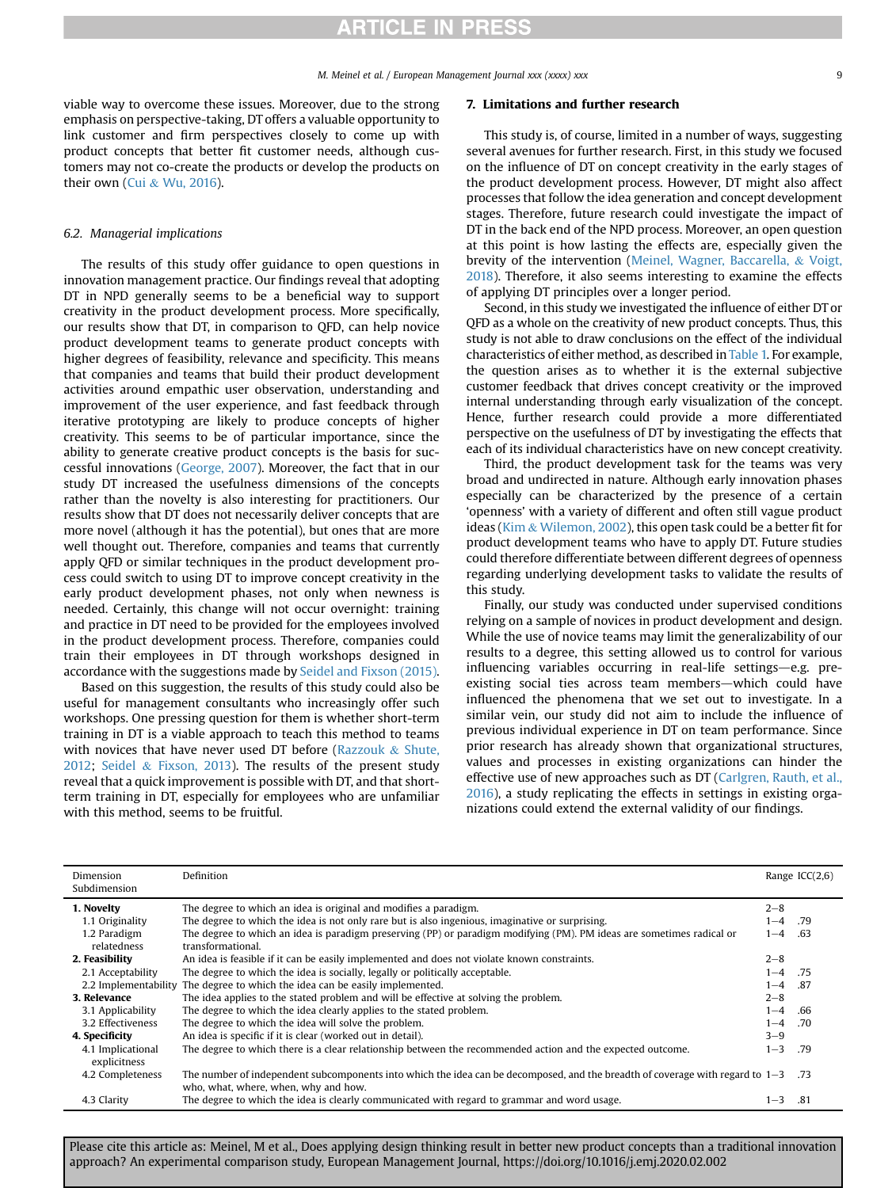viable way to overcome these issues. Moreover, due to the strong emphasis on perspective-taking, DT offers a valuable opportunity to link customer and firm perspectives closely to come up with product concepts that better fit customer needs, although customers may not co-create the products or develop the products on their own [\(Cui](#page-9-0) & [Wu, 2016\)](#page-9-0).

#### 6.2. Managerial implications

The results of this study offer guidance to open questions in innovation management practice. Our findings reveal that adopting DT in NPD generally seems to be a beneficial way to support creativity in the product development process. More specifically, our results show that DT, in comparison to QFD, can help novice product development teams to generate product concepts with higher degrees of feasibility, relevance and specificity. This means that companies and teams that build their product development activities around empathic user observation, understanding and improvement of the user experience, and fast feedback through iterative prototyping are likely to produce concepts of higher creativity. This seems to be of particular importance, since the ability to generate creative product concepts is the basis for successful innovations ([George, 2007\)](#page-9-0). Moreover, the fact that in our study DT increased the usefulness dimensions of the concepts rather than the novelty is also interesting for practitioners. Our results show that DT does not necessarily deliver concepts that are more novel (although it has the potential), but ones that are more well thought out. Therefore, companies and teams that currently apply QFD or similar techniques in the product development process could switch to using DT to improve concept creativity in the early product development phases, not only when newness is needed. Certainly, this change will not occur overnight: training and practice in DT need to be provided for the employees involved in the product development process. Therefore, companies could train their employees in DT through workshops designed in accordance with the suggestions made by [Seidel and Fixson \(2015\).](#page-10-0)

Based on this suggestion, the results of this study could also be useful for management consultants who increasingly offer such workshops. One pressing question for them is whether short-term training in DT is a viable approach to teach this method to teams with novices that have never used DT before [\(Razzouk](#page-10-0) & [Shute,](#page-10-0) [2012;](#page-10-0) [Seidel](#page-10-0) & [Fixson, 2013\)](#page-10-0). The results of the present study reveal that a quick improvement is possible with DT, and that shortterm training in DT, especially for employees who are unfamiliar with this method, seems to be fruitful.

#### 7. Limitations and further research

This study is, of course, limited in a number of ways, suggesting several avenues for further research. First, in this study we focused on the influence of DT on concept creativity in the early stages of the product development process. However, DT might also affect processes that follow the idea generation and concept development stages. Therefore, future research could investigate the impact of DT in the back end of the NPD process. Moreover, an open question at this point is how lasting the effects are, especially given the brevity of the intervention ([Meinel, Wagner, Baccarella,](#page-10-0) & [Voigt,](#page-10-0) [2018\)](#page-10-0). Therefore, it also seems interesting to examine the effects of applying DT principles over a longer period.

Second, in this study we investigated the influence of either DT or QFD as a whole on the creativity of new product concepts. Thus, this study is not able to draw conclusions on the effect of the individual characteristics of either method, as described in [Table 1.](#page-3-0) For example, the question arises as to whether it is the external subjective customer feedback that drives concept creativity or the improved internal understanding through early visualization of the concept. Hence, further research could provide a more differentiated perspective on the usefulness of DT by investigating the effects that each of its individual characteristics have on new concept creativity.

Third, the product development task for the teams was very broad and undirected in nature. Although early innovation phases especially can be characterized by the presence of a certain 'openness' with a variety of different and often still vague product ideas ([Kim](#page-10-0) & [Wilemon, 2002\)](#page-10-0), this open task could be a better fit for product development teams who have to apply DT. Future studies could therefore differentiate between different degrees of openness regarding underlying development tasks to validate the results of this study.

Finally, our study was conducted under supervised conditions relying on a sample of novices in product development and design. While the use of novice teams may limit the generalizability of our results to a degree, this setting allowed us to control for various influencing variables occurring in real-life settings-e.g. preexisting social ties across team members-which could have influenced the phenomena that we set out to investigate. In a similar vein, our study did not aim to include the influence of previous individual experience in DT on team performance. Since prior research has already shown that organizational structures, values and processes in existing organizations can hinder the effective use of new approaches such as DT ([Carlgren, Rauth, et al.,](#page-9-0) [2016\)](#page-9-0), a study replicating the effects in settings in existing organizations could extend the external validity of our findings.

| Dimension<br>Subdimension         | Definition                                                                                                                                                              |         | Range $ICC(2,6)$ |
|-----------------------------------|-------------------------------------------------------------------------------------------------------------------------------------------------------------------------|---------|------------------|
| 1. Novelty                        | The degree to which an idea is original and modifies a paradigm.                                                                                                        | $2 - 8$ |                  |
| 1.1 Originality                   | The degree to which the idea is not only rare but is also ingenious, imaginative or surprising.                                                                         | $1 - 4$ | .79              |
| 1.2 Paradigm                      | The degree to which an idea is paradigm preserving (PP) or paradigm modifying (PM). PM ideas are sometimes radical or                                                   | $1 - 4$ | .63              |
| relatedness                       | transformational.                                                                                                                                                       |         |                  |
| 2. Feasibility                    | An idea is feasible if it can be easily implemented and does not violate known constraints.                                                                             | $2 - 8$ |                  |
| 2.1 Acceptability                 | The degree to which the idea is socially, legally or politically acceptable.                                                                                            | $1 - 4$ | .75              |
|                                   | 2.2 Implementability The degree to which the idea can be easily implemented.                                                                                            | $1 - 4$ | .87              |
| 3. Relevance                      | The idea applies to the stated problem and will be effective at solving the problem.                                                                                    | $2 - 8$ |                  |
| 3.1 Applicability                 | The degree to which the idea clearly applies to the stated problem.                                                                                                     | $1 - 4$ | .66              |
| 3.2 Effectiveness                 | The degree to which the idea will solve the problem.                                                                                                                    | $1 - 4$ | .70              |
| 4. Specificity                    | An idea is specific if it is clear (worked out in detail).                                                                                                              | $3 - 9$ |                  |
| 4.1 Implicational<br>explicitness | The degree to which there is a clear relationship between the recommended action and the expected outcome.                                                              | $1 - 3$ | .79              |
| 4.2 Completeness                  | The number of independent subcomponents into which the idea can be decomposed, and the breadth of coverage with regard to $1-3$<br>who, what, where, when, why and how. |         | .73              |
| 4.3 Clarity                       | The degree to which the idea is clearly communicated with regard to grammar and word usage.                                                                             | $1 - 3$ | .81              |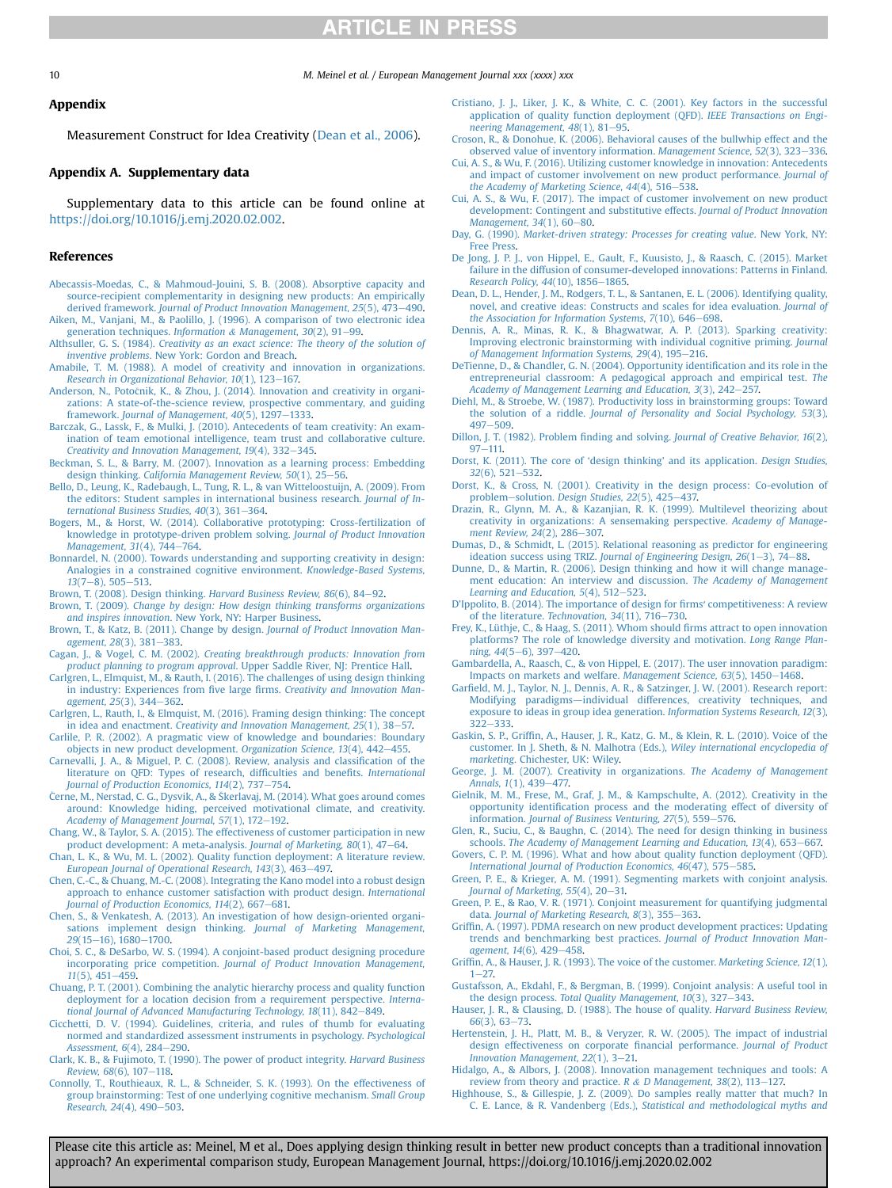<span id="page-9-0"></span>10 M. Meinel et al. / European Management Journal xxx (xxxx) xxx

### Appendix

Measurement Construct for Idea Creativity (Dean et al., 2006).

#### Appendix A. Supplementary data

Supplementary data to this article can be found online at <https://doi.org/10.1016/j.emj.2020.02.002>.

#### References

- [Abecassis-Moedas, C., & Mahmoud-Jouini, S. B. \(2008\). Absorptive capacity and](http://refhub.elsevier.com/S0263-2373(20)30023-2/sref1) [source-recipient complementarity in designing new products: An empirically](http://refhub.elsevier.com/S0263-2373(20)30023-2/sref1) derived framework. [Journal of Product Innovation Management, 25](http://refhub.elsevier.com/S0263-2373(20)30023-2/sref1)(5), 473-[490](http://refhub.elsevier.com/S0263-2373(20)30023-2/sref1).
- [Aiken, M., Vanjani, M., & Paolillo, J. \(1996\). A comparison of two electronic idea](http://refhub.elsevier.com/S0263-2373(20)30023-2/sref2) [generation techniques.](http://refhub.elsevier.com/S0263-2373(20)30023-2/sref2) Information & [Management, 30](http://refhub.elsevier.com/S0263-2373(20)30023-2/sref2)(2), 91-[99](http://refhub.elsevier.com/S0263-2373(20)30023-2/sref2).
- Althsuller, G. S. (1984). [Creativity as an exact science: The theory of the solution of](http://refhub.elsevier.com/S0263-2373(20)30023-2/sref3) inventive problems[. New York: Gordon and Breach.](http://refhub.elsevier.com/S0263-2373(20)30023-2/sref3)
- [Amabile, T. M. \(1988\). A model of creativity and innovation in organizations.](http://refhub.elsevier.com/S0263-2373(20)30023-2/sref4) Research in Organizational Behavior,  $10(1)$ ,  $123-167$ .
- [Anderson, N., Poto](http://refhub.elsevier.com/S0263-2373(20)30023-2/sref5)čnik, K., & Zhou, J. (2014). Innovation and creativity in organi[zations: A state-of-the-science review, prospective commentary, and guiding](http://refhub.elsevier.com/S0263-2373(20)30023-2/sref5) framework. Journal of Management,  $40(5)$ ,  $1297-1333$ .
- [Barczak, G., Lassk, F., & Mulki, J. \(2010\). Antecedents of team creativity: An exam](http://refhub.elsevier.com/S0263-2373(20)30023-2/sref6)[ination of team emotional intelligence, team trust and collaborative culture.](http://refhub.elsevier.com/S0263-2373(20)30023-2/sref6) [Creativity and Innovation Management, 19](http://refhub.elsevier.com/S0263-2373(20)30023-2/sref6)(4), 332-[345.](http://refhub.elsevier.com/S0263-2373(20)30023-2/sref6)
- [Beckman, S. L., & Barry, M. \(2007\). Innovation as a learning process: Embedding](http://refhub.elsevier.com/S0263-2373(20)30023-2/sref7) design thinking. California Management Review,  $50(1)$ ,  $25-56$ .
- [Bello, D., Leung, K., Radebaugh, L., Tung, R. L., & van Witteloostuijn, A. \(2009\). From](http://refhub.elsevier.com/S0263-2373(20)30023-2/sref8) [the editors: Student samples in international business research.](http://refhub.elsevier.com/S0263-2373(20)30023-2/sref8) Journal of International Business Studies,  $40(3)$ ,  $361-364$  $361-364$ .
- [Bogers, M., & Horst, W. \(2014\). Collaborative prototyping: Cross-fertilization of](http://refhub.elsevier.com/S0263-2373(20)30023-2/sref9) [knowledge in prototype-driven problem solving.](http://refhub.elsevier.com/S0263-2373(20)30023-2/sref9) Journal of Product Innovation [Management, 31](http://refhub.elsevier.com/S0263-2373(20)30023-2/sref9)(4), 744-[764.](http://refhub.elsevier.com/S0263-2373(20)30023-2/sref9)
- [Bonnardel, N. \(2000\). Towards understanding and supporting creativity in design:](http://refhub.elsevier.com/S0263-2373(20)30023-2/sref10) [Analogies in a constrained cognitive environment.](http://refhub.elsevier.com/S0263-2373(20)30023-2/sref10) Knowledge-Based Systems,  $13(7-8)$  $13(7-8)$ , 505-[513.](http://refhub.elsevier.com/S0263-2373(20)30023-2/sref10)
- [Brown, T. \(2008\). Design thinking.](http://refhub.elsevier.com/S0263-2373(20)30023-2/sref11) Harvard Business Review, 86(6), 84-[92](http://refhub.elsevier.com/S0263-2373(20)30023-2/sref11).
- Brown, T. (2009). [Change by design: How design thinking transforms organizations](http://refhub.elsevier.com/S0263-2373(20)30023-2/sref12) and inspires innovation[. New York, NY: Harper Business.](http://refhub.elsevier.com/S0263-2373(20)30023-2/sref12)
- [Brown, T., & Katz, B. \(2011\). Change by design.](http://refhub.elsevier.com/S0263-2373(20)30023-2/sref13) Journal of Product Innovation Man[agement, 28](http://refhub.elsevier.com/S0263-2373(20)30023-2/sref13)(3), 381-[383](http://refhub.elsevier.com/S0263-2373(20)30023-2/sref13).
- Cagan, J., & Vogel, C. M. (2002). [Creating breakthrough products: Innovation from](http://refhub.elsevier.com/S0263-2373(20)30023-2/sref14) product planning to program approval[. Upper Saddle River, NJ: Prentice Hall.](http://refhub.elsevier.com/S0263-2373(20)30023-2/sref14)
- [Carlgren, L., Elmquist, M., & Rauth, I. \(2016\). The challenges of using design thinking](http://refhub.elsevier.com/S0263-2373(20)30023-2/sref15) in industry: Experiences from five large firms. [Creativity and Innovation Man](http://refhub.elsevier.com/S0263-2373(20)30023-2/sref15)agement,  $25(3)$ ,  $344-362$ .
- [Carlgren, L., Rauth, I., & Elmquist, M. \(2016\). Framing design thinking: The concept](http://refhub.elsevier.com/S0263-2373(20)30023-2/sref16) in idea and enactment. Creativity and Innovation Management,  $25(1)$ ,  $38-57$ .
- [Carlile, P. R. \(2002\). A pragmatic view of knowledge and boundaries: Boundary](http://refhub.elsevier.com/S0263-2373(20)30023-2/sref17) [objects in new product development.](http://refhub.elsevier.com/S0263-2373(20)30023-2/sref17) Organization Science, 13(4), 442-[455.](http://refhub.elsevier.com/S0263-2373(20)30023-2/sref17)
- [Carnevalli, J. A., & Miguel, P. C. \(2008\). Review, analysis and classi](http://refhub.elsevier.com/S0263-2373(20)30023-2/sref18)fication of the [literature on QFD: Types of research, dif](http://refhub.elsevier.com/S0263-2373(20)30023-2/sref18)ficulties and benefits. International [Journal of Production Economics, 114](http://refhub.elsevier.com/S0263-2373(20)30023-2/sref18)(2), 737-[754.](http://refhub.elsevier.com/S0263-2373(20)30023-2/sref18)
- Č[erne, M., Nerstad, C. G., Dysvik, A., &](http://refhub.elsevier.com/S0263-2373(20)30023-2/sref19) Škerlavaj, M. (2014). What goes around comes [around: Knowledge hiding, perceived motivational climate, and creativity.](http://refhub.elsevier.com/S0263-2373(20)30023-2/sref19) [Academy of Management Journal, 57](http://refhub.elsevier.com/S0263-2373(20)30023-2/sref19)(1), 172-[192](http://refhub.elsevier.com/S0263-2373(20)30023-2/sref19).
- [Chang, W., & Taylor, S. A. \(2015\). The effectiveness of customer participation in new](http://refhub.elsevier.com/S0263-2373(20)30023-2/sref20) [product development: A meta-analysis.](http://refhub.elsevier.com/S0263-2373(20)30023-2/sref20) Journal of Marketing,  $80(1)$ ,  $47-64$ .
- [Chan, L. K., & Wu, M. L. \(2002\). Quality function deployment: A literature review.](http://refhub.elsevier.com/S0263-2373(20)30023-2/sref21)<br>[European Journal of Operational Research, 143](http://refhub.elsevier.com/S0263-2373(20)30023-2/sref21)(3), 463–[497.](http://refhub.elsevier.com/S0263-2373(20)30023-2/sref21)
- [Chen, C.-C., & Chuang, M.-C. \(2008\). Integrating the Kano model into a robust design](http://refhub.elsevier.com/S0263-2373(20)30023-2/sref22) [approach to enhance customer satisfaction with product design.](http://refhub.elsevier.com/S0263-2373(20)30023-2/sref22) International [Journal of Production Economics, 114](http://refhub.elsevier.com/S0263-2373(20)30023-2/sref22)(2), 667-[681.](http://refhub.elsevier.com/S0263-2373(20)30023-2/sref22)
- [Chen, S., & Venkatesh, A. \(2013\). An investigation of how design-oriented organi](http://refhub.elsevier.com/S0263-2373(20)30023-2/sref23)[sations implement design thinking.](http://refhub.elsevier.com/S0263-2373(20)30023-2/sref23) Journal of Marketing Management,  $29(15-16)$  $29(15-16)$  $29(15-16)$ ,  $1680-1700$  $1680-1700$ .
- [Choi, S. C., & DeSarbo, W. S. \(1994\). A conjoint-based product designing procedure](http://refhub.elsevier.com/S0263-2373(20)30023-2/sref24) incorporating price competition. [Journal of Product Innovation Management,](http://refhub.elsevier.com/S0263-2373(20)30023-2/sref24) 11[\(5\), 451](http://refhub.elsevier.com/S0263-2373(20)30023-2/sref24)-[459.](http://refhub.elsevier.com/S0263-2373(20)30023-2/sref24)
- [Chuang, P. T. \(2001\). Combining the analytic hierarchy process and quality function](http://refhub.elsevier.com/S0263-2373(20)30023-2/sref25) [deployment for a location decision from a requirement perspective.](http://refhub.elsevier.com/S0263-2373(20)30023-2/sref25) Interna[tional Journal of Advanced Manufacturing Technology, 18](http://refhub.elsevier.com/S0263-2373(20)30023-2/sref25)(11), 842-[849](http://refhub.elsevier.com/S0263-2373(20)30023-2/sref25).
- [Cicchetti, D. V. \(1994\). Guidelines, criteria, and rules of thumb for evaluating](http://refhub.elsevier.com/S0263-2373(20)30023-2/sref26) [normed and standardized assessment instruments in psychology.](http://refhub.elsevier.com/S0263-2373(20)30023-2/sref26) Psychological [Assessment, 6](http://refhub.elsevier.com/S0263-2373(20)30023-2/sref26)(4), 284-[290](http://refhub.elsevier.com/S0263-2373(20)30023-2/sref26).
- [Clark, K. B., & Fujimoto, T. \(1990\). The power of product integrity.](http://refhub.elsevier.com/S0263-2373(20)30023-2/sref27) Harvard Business [Review, 68](http://refhub.elsevier.com/S0263-2373(20)30023-2/sref27)(6), 107-[118](http://refhub.elsevier.com/S0263-2373(20)30023-2/sref27).
- [Connolly, T., Routhieaux, R. L., & Schneider, S. K. \(1993\). On the effectiveness of](http://refhub.elsevier.com/S0263-2373(20)30023-2/sref28) [group brainstorming: Test of one underlying cognitive mechanism.](http://refhub.elsevier.com/S0263-2373(20)30023-2/sref28) Small Group [Research, 24](http://refhub.elsevier.com/S0263-2373(20)30023-2/sref28)(4), 490-[503](http://refhub.elsevier.com/S0263-2373(20)30023-2/sref28).
- [Cristiano, J. J., Liker, J. K., & White, C. C. \(2001\). Key factors in the successful](http://refhub.elsevier.com/S0263-2373(20)30023-2/sref29) [application of quality function deployment \(QFD\).](http://refhub.elsevier.com/S0263-2373(20)30023-2/sref29) IEEE Transactions on Engineering Management,  $48(1)$ ,  $81-95$  $81-95$ .
- [Croson, R., & Donohue, K. \(2006\). Behavioral causes of the bullwhip effect and the](http://refhub.elsevier.com/S0263-2373(20)30023-2/sref30) [observed value of inventory information.](http://refhub.elsevier.com/S0263-2373(20)30023-2/sref30) Management Science,  $\overline{5}$ 2(3), 323–[336](http://refhub.elsevier.com/S0263-2373(20)30023-2/sref30).
- [Cui, A. S., & Wu, F. \(2016\). Utilizing customer knowledge in innovation: Antecedents](http://refhub.elsevier.com/S0263-2373(20)30023-2/sref31) [and impact of customer involvement on new product performance.](http://refhub.elsevier.com/S0263-2373(20)30023-2/sref31) Journal of the Academy of Marketing Science,  $44(4)$ , 516-[538.](http://refhub.elsevier.com/S0263-2373(20)30023-2/sref31)
- [Cui, A. S., & Wu, F. \(2017\). The impact of customer involvement on new product](http://refhub.elsevier.com/S0263-2373(20)30023-2/sref32) [development: Contingent and substitutive effects.](http://refhub.elsevier.com/S0263-2373(20)30023-2/sref32) Journal of Product Innovation Management,  $34(1)$ ,  $60 - 80$  $60 - 80$ .
- Day, G. (1990). [Market-driven strategy: Processes for creating value](http://refhub.elsevier.com/S0263-2373(20)30023-2/sref33). New York, NY: [Free Press](http://refhub.elsevier.com/S0263-2373(20)30023-2/sref33).
- [De Jong, J. P. J., von Hippel, E., Gault, F., Kuusisto, J., & Raasch, C. \(2015\). Market](http://refhub.elsevier.com/S0263-2373(20)30023-2/sref34) [failure in the diffusion of consumer-developed innovations: Patterns in Finland.](http://refhub.elsevier.com/S0263-2373(20)30023-2/sref34) [Research Policy, 44](http://refhub.elsevier.com/S0263-2373(20)30023-2/sref34)(10), 1856-[1865.](http://refhub.elsevier.com/S0263-2373(20)30023-2/sref34)
- Dean, D. L., Hender, J. M., Rodgers, T. L., & Santanen, E. L. (2006). Identifying quality [novel, and creative ideas: Constructs and scales for idea evaluation.](http://refhub.elsevier.com/S0263-2373(20)30023-2/sref35) Journal of the Association for Information Systems,  $7(10)$ ,  $646-698$  $646-698$ .
- [Dennis, A. R., Minas, R. K., & Bhagwatwar, A. P. \(2013\). Sparking creativity:](http://refhub.elsevier.com/S0263-2373(20)30023-2/sref36) [Improving electronic brainstorming with individual cognitive priming.](http://refhub.elsevier.com/S0263-2373(20)30023-2/sref36) Journal [of Management Information Systems, 29](http://refhub.elsevier.com/S0263-2373(20)30023-2/sref36)(4), 195-[216](http://refhub.elsevier.com/S0263-2373(20)30023-2/sref36).
- [DeTienne, D., & Chandler, G. N. \(2004\). Opportunity identi](http://refhub.elsevier.com/S0263-2373(20)30023-2/sref37)fication and its role in the [entrepreneurial classroom: A pedagogical approach and empirical test.](http://refhub.elsevier.com/S0263-2373(20)30023-2/sref37) The [Academy of Management Learning and Education, 3](http://refhub.elsevier.com/S0263-2373(20)30023-2/sref37)(3), 242-[257.](http://refhub.elsevier.com/S0263-2373(20)30023-2/sref37)
- [Diehl, M., & Stroebe, W. \(1987\). Productivity loss in brainstorming groups: Toward](http://refhub.elsevier.com/S0263-2373(20)30023-2/sref38) the solution of a riddle. [Journal of Personality and Social Psychology, 53](http://refhub.elsevier.com/S0263-2373(20)30023-2/sref38)(3),  $497 - 509$  $497 - 509$  $497 - 509$
- Dillon, J. T. (1982). Problem finding and solving. [Journal of Creative Behavior, 16](http://refhub.elsevier.com/S0263-2373(20)30023-2/sref39)(2),  $97 - 111.$  $97 - 111.$  $97 - 111.$
- [Dorst, K. \(2011\). The core of](http://refhub.elsevier.com/S0263-2373(20)30023-2/sref40) 'design thinking' and its application. Design Studies,  $32(6)$ , 521-[532.](http://refhub.elsevier.com/S0263-2373(20)30023-2/sref40)
- [Dorst, K., & Cross, N. \(2001\). Creativity in the design process: Co-evolution of](http://refhub.elsevier.com/S0263-2373(20)30023-2/sref41) [problem](http://refhub.elsevier.com/S0263-2373(20)30023-2/sref41)–solution. *Design Studies*, 22(5), 425–[437.](http://refhub.elsevier.com/S0263-2373(20)30023-2/sref41)
- [Drazin, R., Glynn, M. A., & Kazanjian, R. K. \(1999\). Multilevel theorizing about](http://refhub.elsevier.com/S0263-2373(20)30023-2/sref42) [creativity in organizations: A sensemaking perspective.](http://refhub.elsevier.com/S0263-2373(20)30023-2/sref42) Academy of Manage[ment Review, 24](http://refhub.elsevier.com/S0263-2373(20)30023-2/sref42)(2), 286-[307.](http://refhub.elsevier.com/S0263-2373(20)30023-2/sref42)
- [Dumas, D., & Schmidt, L. \(2015\). Relational reasoning as predictor for engineering](http://refhub.elsevier.com/S0263-2373(20)30023-2/sref43) ideation success using TRIZ. Journal of Engineering Design,  $26(1-3)$ , 74-[88](http://refhub.elsevier.com/S0263-2373(20)30023-2/sref43).
- [Dunne, D., & Martin, R. \(2006\). Design thinking and how it will change manage](http://refhub.elsevier.com/S0263-2373(20)30023-2/sref44)[ment education: An interview and discussion.](http://refhub.elsevier.com/S0263-2373(20)30023-2/sref44) The Academy of Management Learning and Education,  $5(4)$ ,  $512-523$  $512-523$ .
- D'[Ippolito, B. \(2014\). The importance of design for](http://refhub.elsevier.com/S0263-2373(20)30023-2/sref45) firms[׳](http://refhub.elsevier.com/S0263-2373(20)30023-2/sref45) [competitiveness: A review](http://refhub.elsevier.com/S0263-2373(20)30023-2/sref45) [of the literature.](http://refhub.elsevier.com/S0263-2373(20)30023-2/sref45) Technovation, 34(11), 716-[730](http://refhub.elsevier.com/S0263-2373(20)30023-2/sref45).
- [Frey, K., Lüthje, C., & Haag, S. \(2011\). Whom should](http://refhub.elsevier.com/S0263-2373(20)30023-2/sref46) firms attract to open innovation [platforms? The role of knowledge diversity and motivation.](http://refhub.elsevier.com/S0263-2373(20)30023-2/sref46) Long Range Plan[ning, 44](http://refhub.elsevier.com/S0263-2373(20)30023-2/sref46)(5-[6\), 397](http://refhub.elsevier.com/S0263-2373(20)30023-2/sref46)-[420.](http://refhub.elsevier.com/S0263-2373(20)30023-2/sref46)
- [Gambardella, A., Raasch, C., & von Hippel, E. \(2017\). The user innovation paradigm:](http://refhub.elsevier.com/S0263-2373(20)30023-2/sref47) [Impacts on markets and welfare.](http://refhub.elsevier.com/S0263-2373(20)30023-2/sref47) Management Science, 63(5), 1450-[1468](http://refhub.elsevier.com/S0263-2373(20)30023-2/sref47).
- Garfi[eld, M. J., Taylor, N. J., Dennis, A. R., & Satzinger, J. W. \(2001\). Research report:](http://refhub.elsevier.com/S0263-2373(20)30023-2/sref48) [Modifying paradigms](http://refhub.elsevier.com/S0263-2373(20)30023-2/sref48)-[individual differences, creativity techniques, and](http://refhub.elsevier.com/S0263-2373(20)30023-2/sref48) [exposure to ideas in group idea generation.](http://refhub.elsevier.com/S0263-2373(20)30023-2/sref48) Information Systems Research, 12(3),  $322 - 333$  $322 - 333$  $322 - 333$
- Gaskin, S. P., Griffi[n, A., Hauser, J. R., Katz, G. M., & Klein, R. L. \(2010\). Voice of the](http://refhub.elsevier.com/S0263-2373(20)30023-2/sref49) [customer. In J. Sheth, & N. Malhotra \(Eds.\),](http://refhub.elsevier.com/S0263-2373(20)30023-2/sref49) Wiley international encyclopedia of marketing[. Chichester, UK: Wiley.](http://refhub.elsevier.com/S0263-2373(20)30023-2/sref49)
- [George, J. M. \(2007\). Creativity in organizations.](http://refhub.elsevier.com/S0263-2373(20)30023-2/sref50) The Academy of Management [Annals, 1](http://refhub.elsevier.com/S0263-2373(20)30023-2/sref50)(1), 439-[477.](http://refhub.elsevier.com/S0263-2373(20)30023-2/sref50)
- [Gielnik, M. M., Frese, M., Graf, J. M., & Kampschulte, A. \(2012\). Creativity in the](http://refhub.elsevier.com/S0263-2373(20)30023-2/sref51) opportunity identifi[cation process and the moderating effect of diversity of](http://refhub.elsevier.com/S0263-2373(20)30023-2/sref51) information. [Journal of Business Venturing, 27](http://refhub.elsevier.com/S0263-2373(20)30023-2/sref51)(5), 559-[576.](http://refhub.elsevier.com/S0263-2373(20)30023-2/sref51)
- [Glen, R., Suciu, C., & Baughn, C. \(2014\). The need for design thinking in business](http://refhub.elsevier.com/S0263-2373(20)30023-2/sref52) schools. [The Academy of Management Learning and Education, 13](http://refhub.elsevier.com/S0263-2373(20)30023-2/sref52)(4), 653-[667.](http://refhub.elsevier.com/S0263-2373(20)30023-2/sref52)
- [Govers, C. P. M. \(1996\). What and how about quality function deployment \(QFD\).](http://refhub.elsevier.com/S0263-2373(20)30023-2/sref53) [International Journal of Production Economics, 46](http://refhub.elsevier.com/S0263-2373(20)30023-2/sref53)(47), 575-[585](http://refhub.elsevier.com/S0263-2373(20)30023-2/sref53).
- [Green, P. E., & Krieger, A. M. \(1991\). Segmenting markets with conjoint analysis.](http://refhub.elsevier.com/S0263-2373(20)30023-2/sref54) Journal of Marketing,  $55(4)$ ,  $20-31$ .
- [Green, P. E., & Rao, V. R. \(1971\). Conjoint measurement for quantifying judgmental](http://refhub.elsevier.com/S0263-2373(20)30023-2/sref55) data. [Journal of Marketing Research, 8](http://refhub.elsevier.com/S0263-2373(20)30023-2/sref55)(3), 355-[363](http://refhub.elsevier.com/S0263-2373(20)30023-2/sref55).
- Griffi[n, A. \(1997\). PDMA research on new product development practices: Updating](http://refhub.elsevier.com/S0263-2373(20)30023-2/sref56) [trends and benchmarking best practices.](http://refhub.elsevier.com/S0263-2373(20)30023-2/sref56) Journal of Product Innovation Man[agement, 14](http://refhub.elsevier.com/S0263-2373(20)30023-2/sref56)(6), 429-[458](http://refhub.elsevier.com/S0263-2373(20)30023-2/sref56).
- Griffi[n, A., & Hauser, J. R. \(1993\). The voice of the customer.](http://refhub.elsevier.com/S0263-2373(20)30023-2/sref57) Marketing Science, 12(1),  $1 - 27$  $1 - 27$ .
- [Gustafsson, A., Ekdahl, F., & Bergman, B. \(1999\). Conjoint analysis: A useful tool in](http://refhub.elsevier.com/S0263-2373(20)30023-2/sref58) the design process. Total Quality Management,  $10(3)$ ,  $327-343$  $327-343$ .
- [Hauser, J. R., & Clausing, D. \(1988\). The house of quality.](http://refhub.elsevier.com/S0263-2373(20)30023-2/sref59) Harvard Business Review,  $66(3)$ , 63-[73](http://refhub.elsevier.com/S0263-2373(20)30023-2/sref59).
- [Hertenstein, J. H., Platt, M. B., & Veryzer, R. W. \(2005\). The impact of industrial](http://refhub.elsevier.com/S0263-2373(20)30023-2/sref60) [design effectiveness on corporate](http://refhub.elsevier.com/S0263-2373(20)30023-2/sref60) financial performance. Journal of Product Innovation Management,  $22(1)$ ,  $3-21$ .
- [Hidalgo, A., & Albors, J. \(2008\). Innovation management techniques and tools: A](http://refhub.elsevier.com/S0263-2373(20)30023-2/sref61) [review from theory and practice.](http://refhub.elsevier.com/S0263-2373(20)30023-2/sref61)  $R \& D$  Management, 38(2), 113–[127.](http://refhub.elsevier.com/S0263-2373(20)30023-2/sref61)
- [Highhouse, S., & Gillespie, J. Z. \(2009\). Do samples really matter that much? In](http://refhub.elsevier.com/S0263-2373(20)30023-2/sref62) C. E. Lance, & R. Vandenberg (Eds.), [Statistical and methodological myths and](http://refhub.elsevier.com/S0263-2373(20)30023-2/sref62)